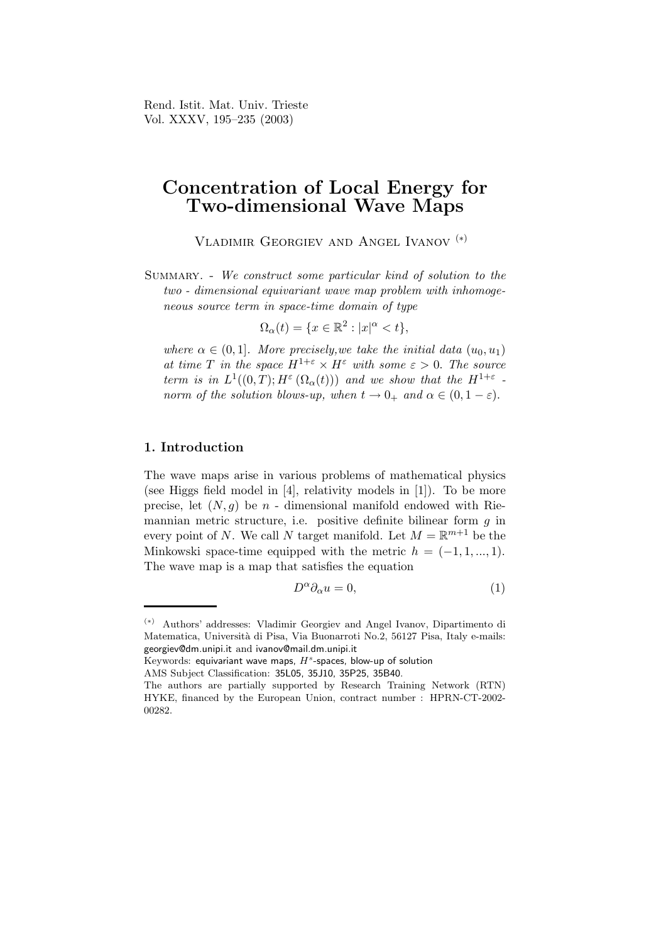Rend. Istit. Mat. Univ. Trieste Vol. XXXV, 195–235 (2003)

# Concentration of Local Energy for Two-dimensional Wave Maps

Vladimir Georgiev and Angel Ivanov (∗)

Summary. - We construct some particular kind of solution to the two - dimensional equivariant wave map problem with inhomogeneous source term in space-time domain of type

$$
\Omega_{\alpha}(t) = \{ x \in \mathbb{R}^2 : |x|^{\alpha} < t \},
$$

where  $\alpha \in (0,1]$ . More precisely, we take the initial data  $(u_0, u_1)$ at time T in the space  $H^{1+\varepsilon} \times H^{\varepsilon}$  with some  $\varepsilon > 0$ . The source term is in  $L^1((0,T); H^{\varepsilon}(\Omega_{\alpha}(t)))$  and we show that the  $H^{1+\varepsilon}$ . norm of the solution blows-up, when  $t \to 0_+$  and  $\alpha \in (0, 1 - \varepsilon)$ .

#### 1. Introduction

The wave maps arise in various problems of mathematical physics (see Higgs field model in [4], relativity models in [1]). To be more precise, let  $(N, g)$  be n - dimensional manifold endowed with Riemannian metric structure, i.e. positive definite bilinear form  $q$  in every point of N. We call N target manifold. Let  $M = \mathbb{R}^{m+1}$  be the Minkowski space-time equipped with the metric  $h = (-1, 1, ..., 1)$ . The wave map is a map that satisfies the equation

$$
D^{\alpha}\partial_{\alpha}u = 0, \tag{1}
$$

 $\rm{Keywords:}$  equivariant wave maps,  $H^s$ -spaces, blow-up of solution

<sup>(</sup>∗) Authors' addresses: Vladimir Georgiev and Angel Ivanov, Dipartimento di Matematica, Università di Pisa, Via Buonarroti No.2, 56127 Pisa, Italy e-mails: georgiev@dm.unipi.it and ivanov@mail.dm.unipi.it

AMS Subject Classification: 35L05, 35J10, 35P25, 35B40.

The authors are partially supported by Research Training Network (RTN) HYKE, financed by the European Union, contract number : HPRN-CT-2002- 00282.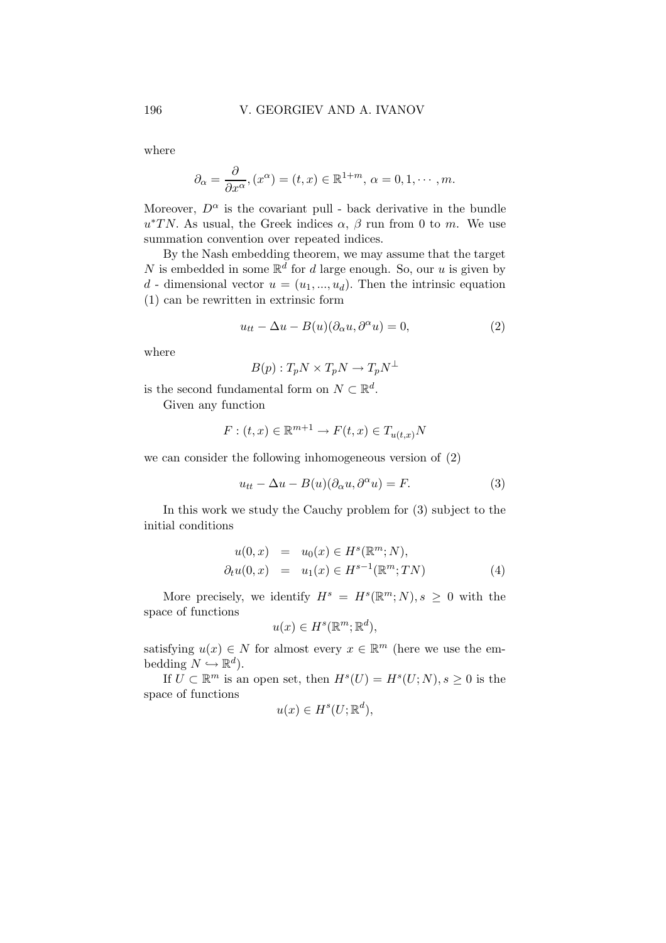where

$$
\partial_{\alpha} = \frac{\partial}{\partial x^{\alpha}}, (x^{\alpha}) = (t, x) \in \mathbb{R}^{1+m}, \, \alpha = 0, 1, \cdots, m.
$$

Moreover,  $D^{\alpha}$  is the covariant pull - back derivative in the bundle  $u^*TN$ . As usual, the Greek indices  $\alpha$ ,  $\beta$  run from 0 to m. We use summation convention over repeated indices.

By the Nash embedding theorem, we may assume that the target N is embedded in some  $\mathbb{R}^d$  for d large enough. So, our u is given by d - dimensional vector  $u = (u_1, ..., u_d)$ . Then the intrinsic equation (1) can be rewritten in extrinsic form

$$
u_{tt} - \Delta u - B(u)(\partial_{\alpha}u, \partial^{\alpha}u) = 0, \qquad (2)
$$

where

$$
B(p): T_p N \times T_p N \to T_p N^{\perp}
$$

is the second fundamental form on  $N \subset \mathbb{R}^d$ .

Given any function

$$
F: (t, x) \in \mathbb{R}^{m+1} \to F(t, x) \in T_{u(t, x)}N
$$

we can consider the following inhomogeneous version of (2)

$$
u_{tt} - \Delta u - B(u)(\partial_{\alpha}u, \partial^{\alpha}u) = F.
$$
 (3)

In this work we study the Cauchy problem for (3) subject to the initial conditions

$$
u(0, x) = u_0(x) \in H^s(\mathbb{R}^m; N), \n\partial_t u(0, x) = u_1(x) \in H^{s-1}(\mathbb{R}^m; TN)
$$
\n(4)

More precisely, we identify  $H^s = H^s(\mathbb{R}^m; N), s \geq 0$  with the space of functions

$$
u(x) \in H^s(\mathbb{R}^m; \mathbb{R}^d),
$$

satisfying  $u(x) \in N$  for almost every  $x \in \mathbb{R}^m$  (here we use the embedding  $N \hookrightarrow \mathbb{R}^d$ ).

If  $U \subset \mathbb{R}^m$  is an open set, then  $H^s(U) = H^s(U;N), s \geq 0$  is the space of functions

$$
u(x) \in H^s(U; \mathbb{R}^d),
$$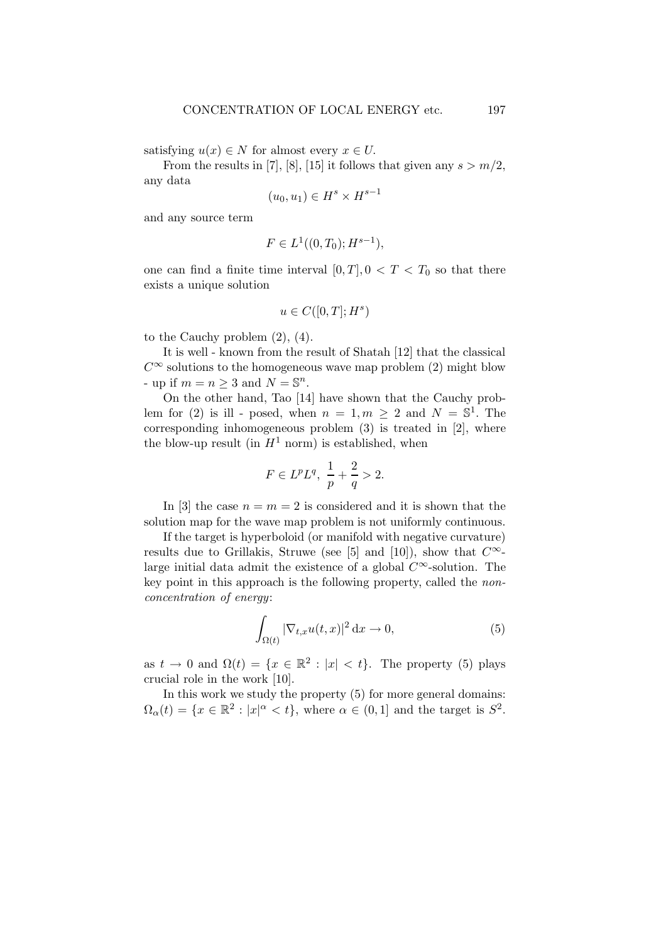satisfying  $u(x) \in N$  for almost every  $x \in U$ .

From the results in [7], [8], [15] it follows that given any  $s > m/2$ , any data

$$
(u_0, u_1) \in H^s \times H^{s-1}
$$

and any source term

$$
F \in L^1((0,T_0);H^{s-1}),
$$

one can find a finite time interval  $[0, T]$ ,  $0 < T < T_0$  so that there exists a unique solution

$$
u\in C([0,T];H^s)
$$

to the Cauchy problem (2), (4).

It is well - known from the result of Shatah [12] that the classical  $C^{\infty}$  solutions to the homogeneous wave map problem (2) might blow - up if  $m = n \geq 3$  and  $N = \mathbb{S}^n$ .

On the other hand, Tao [14] have shown that the Cauchy problem for (2) is ill - posed, when  $n = 1, m \ge 2$  and  $N = \mathbb{S}^1$ . The corresponding inhomogeneous problem (3) is treated in [2], where the blow-up result (in  $H^1$  norm) is established, when

$$
F \in L^p L^q, \ \frac{1}{p} + \frac{2}{q} > 2.
$$

In [3] the case  $n = m = 2$  is considered and it is shown that the solution map for the wave map problem is not uniformly continuous.

If the target is hyperboloid (or manifold with negative curvature) results due to Grillakis, Struwe (see [5] and [10]), show that  $C^{\infty}$ large initial data admit the existence of a global  $C^{\infty}$ -solution. The key point in this approach is the following property, called the nonconcentration of energy:

$$
\int_{\Omega(t)} |\nabla_{t,x} u(t,x)|^2 \, \mathrm{d}x \to 0,\tag{5}
$$

as  $t \to 0$  and  $\Omega(t) = \{x \in \mathbb{R}^2 : |x| < t\}$ . The property (5) plays crucial role in the work [10].

In this work we study the property (5) for more general domains:  $\Omega_{\alpha}(t) = \{x \in \mathbb{R}^2 : |x|^{\alpha} < t\},\$  where  $\alpha \in (0,1]$  and the target is  $S^2$ .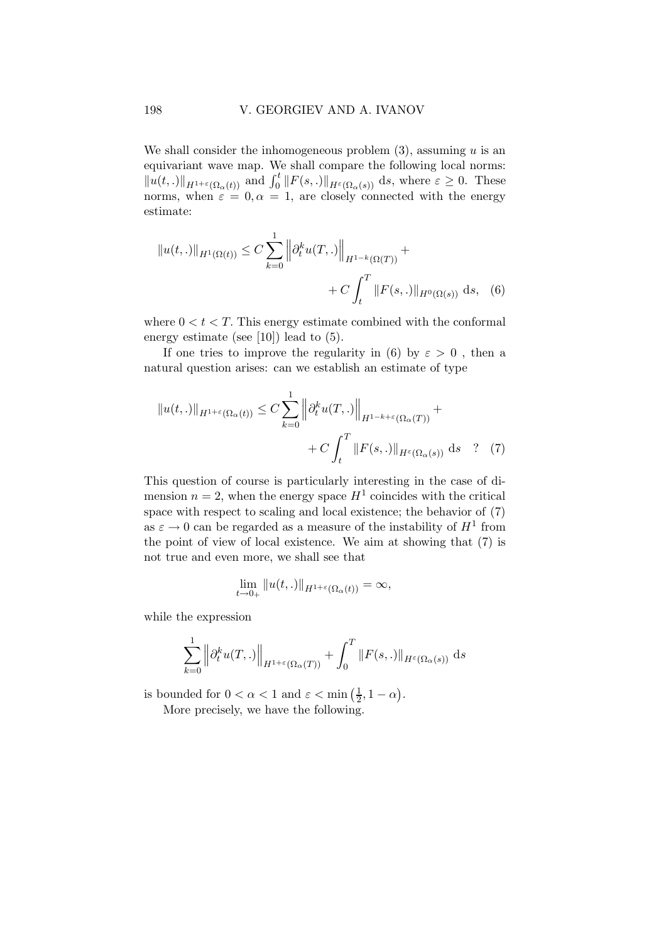We shall consider the inhomogeneous problem  $(3)$ , assuming u is an equivariant wave map. We shall compare the following local norms:  $||u(t,.)||_{H^{1+\varepsilon}(\Omega_{\alpha}(t))}$  and  $\int_0^t ||F(s,.)||_{H^{\varepsilon}(\Omega_{\alpha}(s))} ds$ , where  $\varepsilon \geq 0$ . These norms, when  $\varepsilon = 0, \alpha = 1$ , are closely connected with the energy estimate:

$$
||u(t,.)||_{H^1(\Omega(t))} \leq C \sum_{k=0}^1 ||\partial_t^k u(T,.)||_{H^{1-k}(\Omega(T))} + C \int_t^T ||F(s,.)||_{H^0(\Omega(s))} ds, \quad (6)
$$

where  $0 < t < T$ . This energy estimate combined with the conformal energy estimate (see [10]) lead to (5).

If one tries to improve the regularity in (6) by  $\varepsilon > 0$ , then a natural question arises: can we establish an estimate of type

$$
||u(t,.)||_{H^{1+\varepsilon}(\Omega_{\alpha}(t))} \leq C \sum_{k=0}^{1} ||\partial_t^k u(T,.)||_{H^{1-k+\varepsilon}(\Omega_{\alpha}(T))} + C \int_t^T ||F(s,.)||_{H^{\varepsilon}(\Omega_{\alpha}(s))} ds \quad ? \quad (7)
$$

This question of course is particularly interesting in the case of dimension  $n=2$ , when the energy space  $H^1$  coincides with the critical space with respect to scaling and local existence; the behavior of (7) as  $\varepsilon \to 0$  can be regarded as a measure of the instability of  $H^1$  from the point of view of local existence. We aim at showing that (7) is not true and even more, we shall see that

$$
\lim_{t\to 0+}||u(t,.)||_{H^{1+\varepsilon}(\Omega_{\alpha}(t))}=\infty,
$$

while the expression

$$
\sum_{k=0}^{1} \left\| \partial_t^k u(T,.) \right\|_{H^{1+\varepsilon}(\Omega_\alpha(T))} + \int_0^T \|F(s,.)\|_{H^{\varepsilon}(\Omega_\alpha(s))} ds
$$

is bounded for  $0 < \alpha < 1$  and  $\varepsilon < \min\left(\frac{1}{2}\right)$  $\frac{1}{2}$ , 1 –  $\alpha$ ). More precisely, we have the following.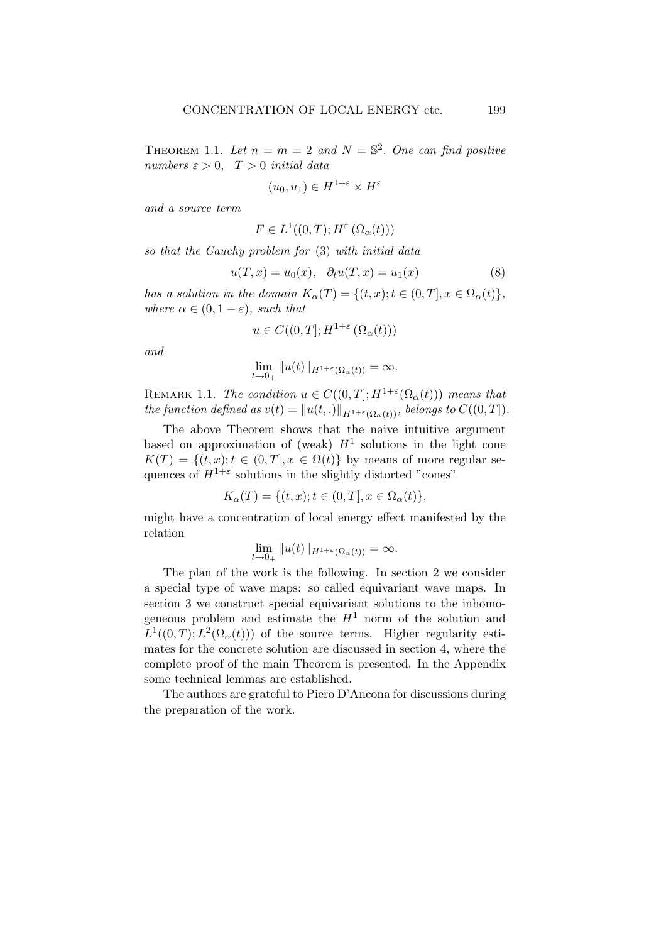THEOREM 1.1. Let  $n = m = 2$  and  $N = \mathbb{S}^2$ . One can find positive numbers  $\varepsilon > 0$ ,  $T > 0$  initial data

$$
(u_0, u_1) \in H^{1+\varepsilon} \times H^{\varepsilon}
$$

and a source term

$$
F \in L^1((0,T); H^{\varepsilon}(\Omega_{\alpha}(t)))
$$

so that the Cauchy problem for (3) with initial data

$$
u(T, x) = u_0(x), \quad \partial_t u(T, x) = u_1(x) \tag{8}
$$

has a solution in the domain  $K_{\alpha}(T) = \{(t, x); t \in (0, T], x \in \Omega_{\alpha}(t)\},\$ where  $\alpha \in (0, 1-\varepsilon)$ , such that

$$
u \in C((0,T]; H^{1+\varepsilon}(\Omega_{\alpha}(t)))
$$

and

$$
\lim_{t\to 0_+}||u(t)||_{H^{1+\varepsilon}(\Omega_\alpha(t))}=\infty.
$$

REMARK 1.1. The condition  $u \in C((0,T]; H^{1+\varepsilon}(\Omega_{\alpha}(t)))$  means that the function defined as  $v(t) = ||u(t, .)||_{H^{1+\varepsilon}(\Omega_{\alpha}(t))}$ , belongs to  $C((0, T])$ .

The above Theorem shows that the naive intuitive argument based on approximation of (weak)  $H^1$  solutions in the light cone  $K(T) = \{(t, x); t \in (0, T], x \in \Omega(t)\}\$ by means of more regular sequences of  $H^{1+\varepsilon}$  solutions in the slightly distorted "cones"

$$
K_{\alpha}(T) = \{(t, x); t \in (0, T], x \in \Omega_{\alpha}(t)\},\
$$

might have a concentration of local energy effect manifested by the relation

$$
\lim_{t\to 0_+}||u(t)||_{H^{1+\varepsilon}(\Omega_\alpha(t))}=\infty.
$$

The plan of the work is the following. In section 2 we consider a special type of wave maps: so called equivariant wave maps. In section 3 we construct special equivariant solutions to the inhomogeneous problem and estimate the  $H<sup>1</sup>$  norm of the solution and  $L^1((0,T); L^2(\Omega_\alpha(t)))$  of the source terms. Higher regularity estimates for the concrete solution are discussed in section 4, where the complete proof of the main Theorem is presented. In the Appendix some technical lemmas are established.

The authors are grateful to Piero D'Ancona for discussions during the preparation of the work.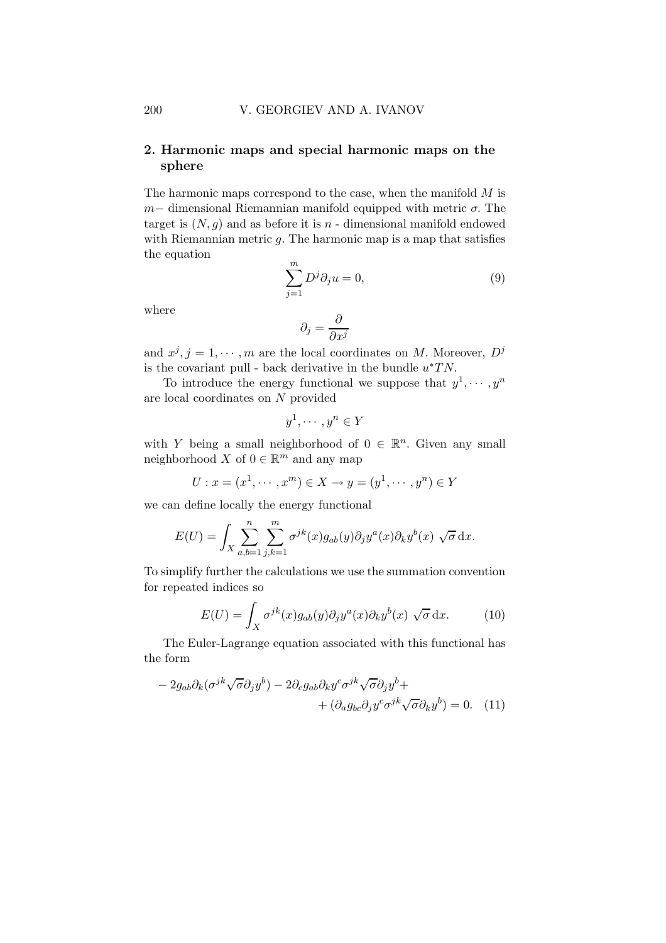### 2. Harmonic maps and special harmonic maps on the sphere

The harmonic maps correspond to the case, when the manifold  $M$  is  $m-$  dimensional Riemannian manifold equipped with metric  $\sigma$ . The target is  $(N, g)$  and as before it is n - dimensional manifold endowed with Riemannian metric  $q$ . The harmonic map is a map that satisfies the equation

$$
\sum_{j=1}^{m} D^j \partial_j u = 0,\t\t(9)
$$

where

$$
\partial_j=\frac{\partial}{\partial x^j}
$$

and  $x^j, j = 1, \dots, m$  are the local coordinates on M. Moreover,  $D^j$ is the covariant pull - back derivative in the bundle  $u^*TN$ .

To introduce the energy functional we suppose that  $y^1, \dots, y^n$ are local coordinates on N provided

$$
y^1, \cdots, y^n \in Y
$$

with Y being a small neighborhood of  $0 \in \mathbb{R}^n$ . Given any small neighborhood  $X$  of  $0 \in \mathbb{R}^m$  and any map

$$
U: x = (x^1, \dots, x^m) \in X \to y = (y^1, \dots, y^n) \in Y
$$

we can define locally the energy functional

$$
E(U) = \int_X \sum_{a,b=1}^n \sum_{j,k=1}^m \sigma^{jk}(x) g_{ab}(y) \partial_j y^a(x) \partial_k y^b(x) \sqrt{\sigma} dx.
$$

To simplify further the calculations we use the summation convention for repeated indices so

$$
E(U) = \int_X \sigma^{jk}(x) g_{ab}(y) \partial_j y^a(x) \partial_k y^b(x) \sqrt{\sigma} dx.
$$
 (10)

The Euler-Lagrange equation associated with this functional has the form

$$
-2g_{ab}\partial_k(\sigma^{jk}\sqrt{\sigma}\partial_j y^b) - 2\partial_c g_{ab}\partial_k y^c \sigma^{jk}\sqrt{\sigma}\partial_j y^b +
$$
  
+ 
$$
(\partial_a g_{bc}\partial_j y^c \sigma^{jk}\sqrt{\sigma}\partial_k y^b) = 0.
$$
 (11)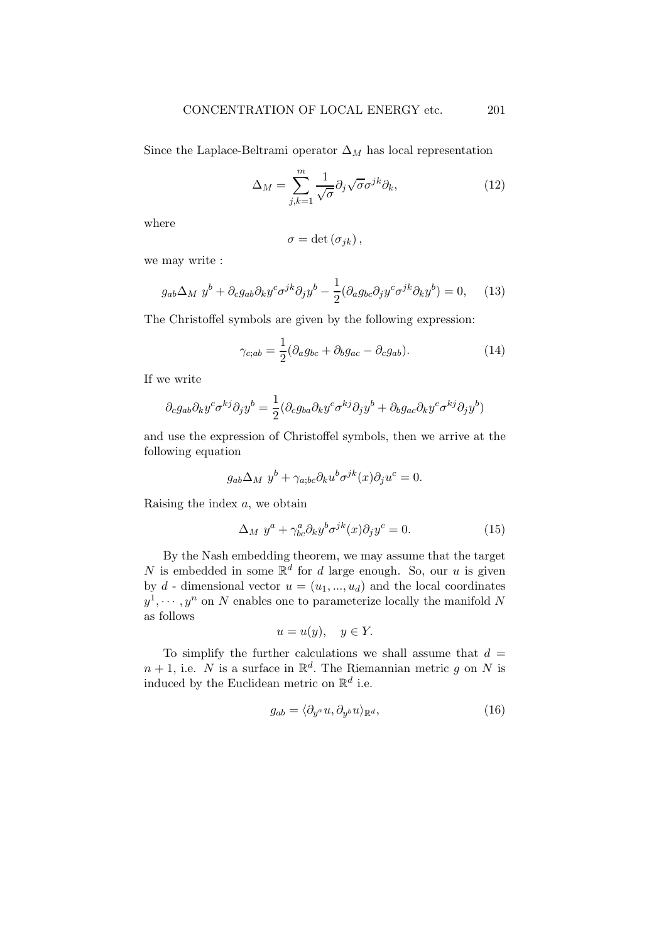Since the Laplace-Beltrami operator  $\Delta_M$  has local representation

$$
\Delta_M = \sum_{j,k=1}^m \frac{1}{\sqrt{\sigma}} \partial_j \sqrt{\sigma} \sigma^{jk} \partial_k, \qquad (12)
$$

where

$$
\sigma = \det (\sigma_{jk}),
$$

we may write :

$$
g_{ab}\Delta_M y^b + \partial_c g_{ab}\partial_k y^c \sigma^{jk}\partial_j y^b - \frac{1}{2}(\partial_a g_{bc}\partial_j y^c \sigma^{jk}\partial_k y^b) = 0, \quad (13)
$$

The Christoffel symbols are given by the following expression:

$$
\gamma_{c;ab} = \frac{1}{2} (\partial_a g_{bc} + \partial_b g_{ac} - \partial_c g_{ab}).
$$
\n(14)

If we write

$$
\partial_c g_{ab} \partial_k y^c \sigma^{kj} \partial_j y^b = \frac{1}{2} (\partial_c g_{ba} \partial_k y^c \sigma^{kj} \partial_j y^b + \partial_b g_{ac} \partial_k y^c \sigma^{kj} \partial_j y^b)
$$

and use the expression of Christoffel symbols, then we arrive at the following equation

$$
g_{ab}\Delta_M y^b + \gamma_{a;bc}\partial_k u^b \sigma^{jk}(x)\partial_j u^c = 0.
$$

Raising the index  $a$ , we obtain

$$
\Delta_M y^a + \gamma^a_{bc} \partial_k y^b \sigma^{jk}(x) \partial_j y^c = 0.
$$
 (15)

By the Nash embedding theorem, we may assume that the target N is embedded in some  $\mathbb{R}^d$  for d large enough. So, our u is given by d - dimensional vector  $u = (u_1, ..., u_d)$  and the local coordinates  $y^1, \dots, y^n$  on N enables one to parameterize locally the manifold N as follows

$$
u = u(y), \quad y \in Y.
$$

To simplify the further calculations we shall assume that  $d =$  $n+1$ , i.e. N is a surface in  $\mathbb{R}^d$ . The Riemannian metric g on N is induced by the Euclidean metric on  $\mathbb{R}^d$  i.e.

$$
g_{ab} = \langle \partial_{y^a} u, \partial_{y^b} u \rangle_{\mathbb{R}^d},\tag{16}
$$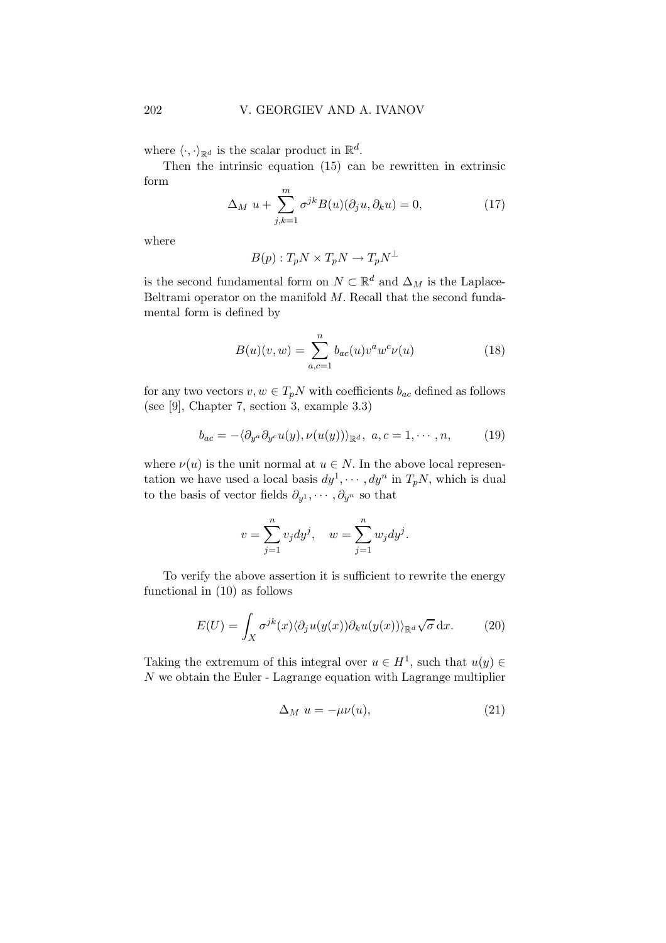where  $\langle \cdot, \cdot \rangle_{\mathbb{R}^d}$  is the scalar product in  $\mathbb{R}^d$ .

Then the intrinsic equation (15) can be rewritten in extrinsic form

$$
\Delta_M u + \sum_{j,k=1}^m \sigma^{jk} B(u)(\partial_j u, \partial_k u) = 0,
$$
\n(17)

where

$$
B(p): T_p N \times T_p N \to T_p N^{\perp}
$$

is the second fundamental form on  $N \subset \mathbb{R}^d$  and  $\Delta_M$  is the Laplace-Beltrami operator on the manifold  $M$ . Recall that the second fundamental form is defined by

$$
B(u)(v, w) = \sum_{a, c=1}^{n} b_{ac}(u)v^{a}w^{c}\nu(u)
$$
 (18)

for any two vectors  $v, w \in T_pN$  with coefficients  $b_{ac}$  defined as follows (see [9], Chapter 7, section 3, example 3.3)

$$
b_{ac} = -\langle \partial_{y^a} \partial_{y^c} u(y), \nu(u(y)) \rangle_{\mathbb{R}^d}, \ a, c = 1, \cdots, n,
$$
 (19)

where  $\nu(u)$  is the unit normal at  $u \in N$ . In the above local representation we have used a local basis  $dy^1, \dots, dy^n$  in  $T_pN$ , which is dual to the basis of vector fields  $\partial_{y^1}, \cdots, \partial_{y^n}$  so that

$$
v = \sum_{j=1}^{n} v_j dy^j
$$
,  $w = \sum_{j=1}^{n} w_j dy^j$ .

To verify the above assertion it is sufficient to rewrite the energy functional in (10) as follows

$$
E(U) = \int_X \sigma^{jk}(x) \langle \partial_j u(y(x)) \partial_k u(y(x)) \rangle_{\mathbb{R}^d} \sqrt{\sigma} \, \mathrm{d}x. \tag{20}
$$

Taking the extremum of this integral over  $u \in H^1$ , such that  $u(y) \in$  $N$  we obtain the Euler - Lagrange equation with Lagrange multiplier

$$
\Delta_M u = -\mu \nu(u),\tag{21}
$$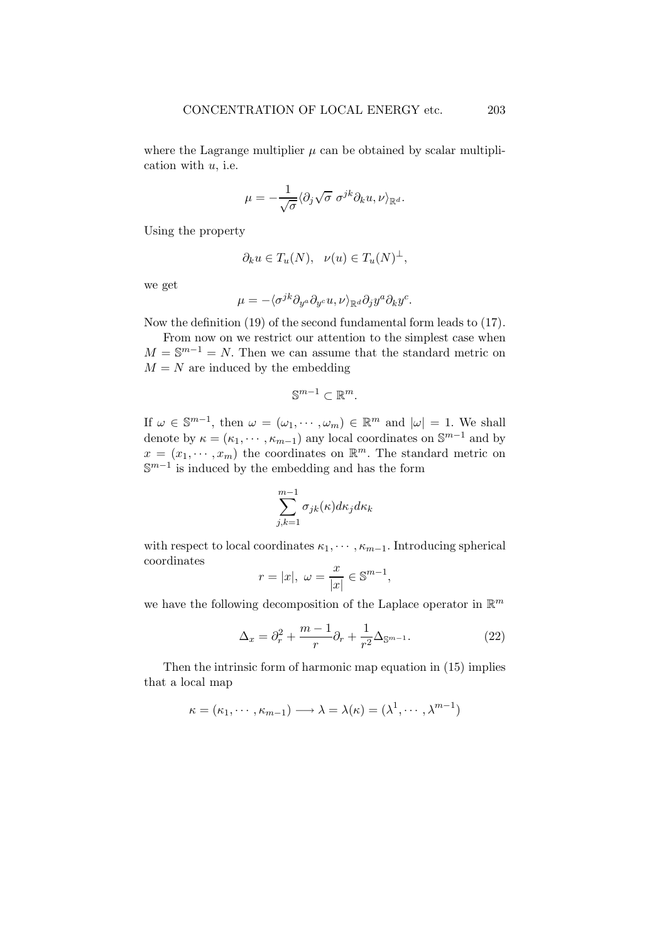where the Lagrange multiplier  $\mu$  can be obtained by scalar multiplication with  $u$ , i.e.

$$
\mu = -\frac{1}{\sqrt{\sigma}} \langle \partial_j \sqrt{\sigma} \; \sigma^{jk} \partial_k u, \nu \rangle_{\mathbb{R}^d}.
$$

Using the property

$$
\partial_k u \in T_u(N), \ \nu(u) \in T_u(N)^{\perp},
$$

we get

$$
\mu = -\langle \sigma^{jk} \partial_{y^a} \partial_{y^c} u, \nu \rangle_{\mathbb{R}^d} \partial_j y^a \partial_k y^c.
$$

Now the definition (19) of the second fundamental form leads to (17).

From now on we restrict our attention to the simplest case when  $M = \mathbb{S}^{m-1} = N$ . Then we can assume that the standard metric on  $M = N$  are induced by the embedding

$$
\mathbb{S}^{m-1}\subset\mathbb{R}^m.
$$

If  $\omega \in \mathbb{S}^{m-1}$ , then  $\omega = (\omega_1, \dots, \omega_m) \in \mathbb{R}^m$  and  $|\omega| = 1$ . We shall denote by  $\kappa = (\kappa_1, \cdots, \kappa_{m-1})$  any local coordinates on  $\mathbb{S}^{m-1}$  and by  $x = (x_1, \dots, x_m)$  the coordinates on  $\mathbb{R}^m$ . The standard metric on  $\mathbb{S}^{m-1}$  is induced by the embedding and has the form

$$
\sum_{j,k=1}^{m-1} \sigma_{jk}(\kappa) d\kappa_j d\kappa_k
$$

with respect to local coordinates  $\kappa_1, \cdots, \kappa_{m-1}$ . Introducing spherical coordinates

$$
r = |x|, \ \omega = \frac{x}{|x|} \in \mathbb{S}^{m-1},
$$

we have the following decomposition of the Laplace operator in  $\mathbb{R}^m$ 

$$
\Delta_x = \partial_r^2 + \frac{m-1}{r} \partial_r + \frac{1}{r^2} \Delta_{\mathbb{S}^{m-1}}.
$$
\n(22)

Then the intrinsic form of harmonic map equation in (15) implies that a local map

$$
\kappa = (\kappa_1, \cdots, \kappa_{m-1}) \longrightarrow \lambda = \lambda(\kappa) = (\lambda^1, \cdots, \lambda^{m-1})
$$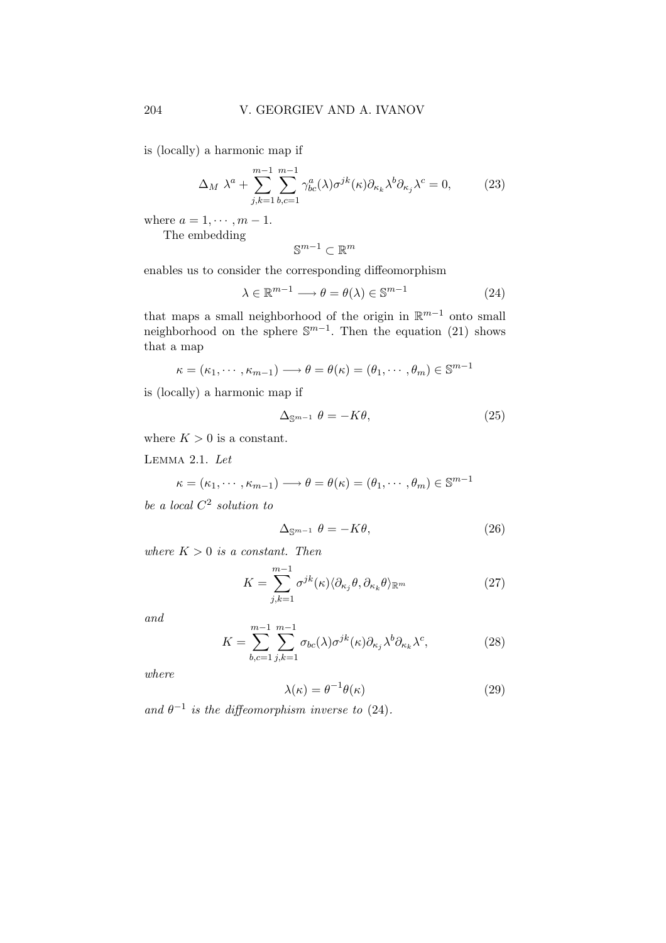is (locally) a harmonic map if

$$
\Delta_M \lambda^a + \sum_{j,k=1}^{m-1} \sum_{b,c=1}^{m-1} \gamma_{bc}^a(\lambda) \sigma^{jk}(\kappa) \partial_{\kappa_k} \lambda^b \partial_{\kappa_j} \lambda^c = 0, \tag{23}
$$

where  $a = 1, \dots, m - 1$ . The embedding

$$
\mathbb{S}^{m-1}\subset\mathbb{R}^m
$$

enables us to consider the corresponding diffeomorphism

$$
\lambda \in \mathbb{R}^{m-1} \longrightarrow \theta = \theta(\lambda) \in \mathbb{S}^{m-1}
$$
 (24)

that maps a small neighborhood of the origin in  $\mathbb{R}^{m-1}$  onto small neighborhood on the sphere  $\mathbb{S}^{m-1}$ . Then the equation (21) shows that a map

$$
\kappa = (\kappa_1, \cdots, \kappa_{m-1}) \longrightarrow \theta = \theta(\kappa) = (\theta_1, \cdots, \theta_m) \in \mathbb{S}^{m-1}
$$

is (locally) a harmonic map if

$$
\Delta_{\mathbb{S}^{m-1}} \theta = -K\theta,\tag{25}
$$

where  $K > 0$  is a constant.

Lemma 2.1. Let

$$
\kappa = (\kappa_1, \cdots, \kappa_{m-1}) \longrightarrow \theta = \theta(\kappa) = (\theta_1, \cdots, \theta_m) \in \mathbb{S}^{m-1}
$$

be a local  $C^2$  solution to

$$
\Delta_{\mathbb{S}^{m-1}} \theta = -K\theta,\tag{26}
$$

where  $K > 0$  is a constant. Then

$$
K = \sum_{j,k=1}^{m-1} \sigma^{jk}(\kappa) \langle \partial_{\kappa_j} \theta, \partial_{\kappa_k} \theta \rangle_{\mathbb{R}^m}
$$
 (27)

and

$$
K = \sum_{b,c=1}^{m-1} \sum_{j,k=1}^{m-1} \sigma_{bc}(\lambda) \sigma^{jk}(\kappa) \partial_{\kappa_j} \lambda^b \partial_{\kappa_k} \lambda^c, \tag{28}
$$

where

$$
\lambda(\kappa) = \theta^{-1}\theta(\kappa) \tag{29}
$$

and  $\theta^{-1}$  is the diffeomorphism inverse to (24).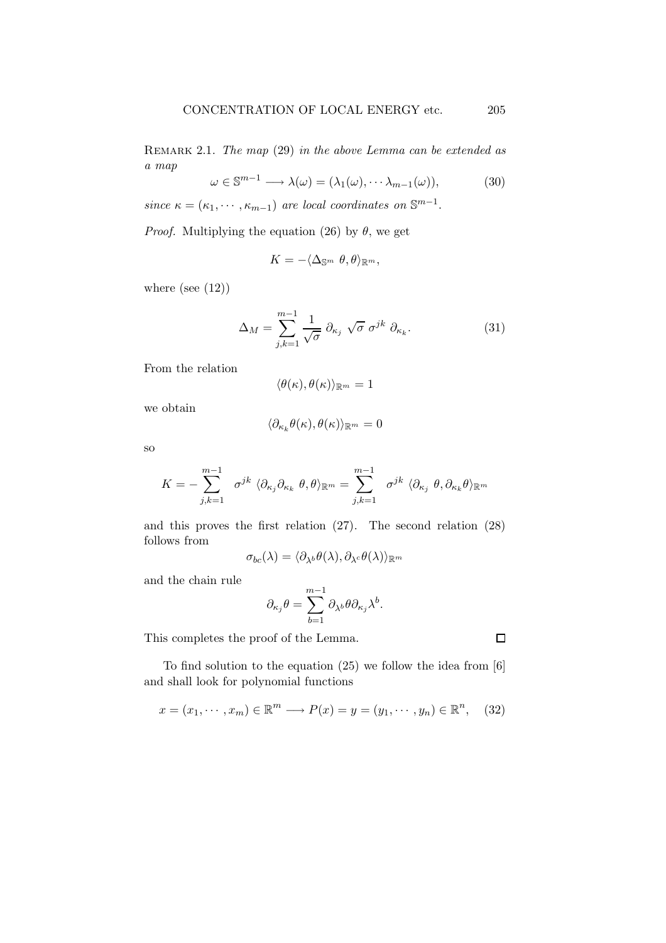REMARK 2.1. The map (29) in the above Lemma can be extended as a map

$$
\omega \in \mathbb{S}^{m-1} \longrightarrow \lambda(\omega) = (\lambda_1(\omega), \cdots \lambda_{m-1}(\omega)), \tag{30}
$$

since  $\kappa = (\kappa_1, \cdots, \kappa_{m-1})$  are local coordinates on  $\mathbb{S}^{m-1}$ .

*Proof.* Multiplying the equation (26) by  $\theta$ , we get

$$
K=-\langle \Delta_{\mathbb{S}^m}\theta, \theta \rangle_{\mathbb{R}^m},
$$

where (see  $(12)$ )

$$
\Delta_M = \sum_{j,k=1}^{m-1} \frac{1}{\sqrt{\sigma}} \partial_{\kappa_j} \sqrt{\sigma} \sigma^{jk} \partial_{\kappa_k}.
$$
 (31)

From the relation

$$
\langle \theta(\kappa), \theta(\kappa) \rangle_{\mathbb{R}^m} = 1
$$

we obtain

$$
\langle \partial_{\kappa_k} \theta(\kappa), \theta(\kappa) \rangle_{\mathbb{R}^m} = 0
$$

so

$$
K=-\sum_{j,k=1}^{m-1} \sigma^{jk} \langle \partial_{\kappa_j} \partial_{\kappa_k} \theta, \theta \rangle_{\mathbb{R}^m} = \sum_{j,k=1}^{m-1} \sigma^{jk} \langle \partial_{\kappa_j} \theta, \partial_{\kappa_k} \theta \rangle_{\mathbb{R}^m}
$$

and this proves the first relation (27). The second relation (28) follows from

$$
\sigma_{bc}(\lambda)=\langle\partial_{\lambda^b}\theta(\lambda),\partial_{\lambda^c}\theta(\lambda)\rangle_{\mathbb{R}^m}
$$

and the chain rule

$$
\partial_{\kappa_j}\theta = \sum_{b=1}^{m-1} \partial_{\lambda^b}\theta \partial_{\kappa_j}\lambda^b.
$$

This completes the proof of the Lemma.

To find solution to the equation (25) we follow the idea from [6] and shall look for polynomial functions

$$
x = (x_1, \dots, x_m) \in \mathbb{R}^m \longrightarrow P(x) = y = (y_1, \dots, y_n) \in \mathbb{R}^n, \quad (32)
$$

 $\Box$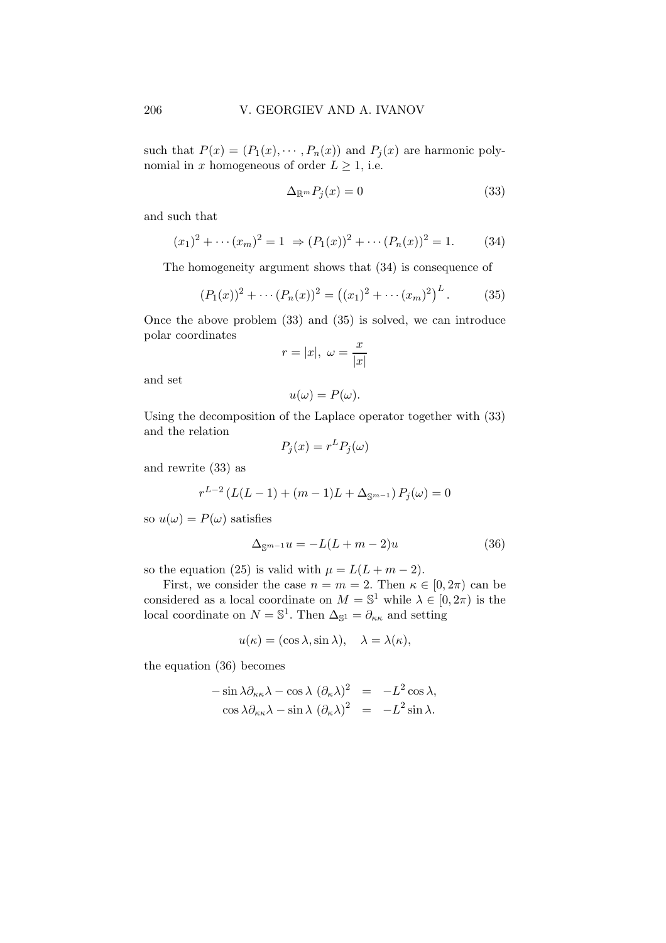such that  $P(x) = (P_1(x), \dots, P_n(x))$  and  $P_j(x)$  are harmonic polynomial in x homogeneous of order  $L \geq 1$ , i.e.

$$
\Delta_{\mathbb{R}^m} P_j(x) = 0 \tag{33}
$$

and such that

$$
(x_1)^2 + \cdots (x_m)^2 = 1 \Rightarrow (P_1(x))^2 + \cdots (P_n(x))^2 = 1.
$$
 (34)

The homogeneity argument shows that (34) is consequence of

$$
(P_1(x))^2 + \cdots (P_n(x))^2 = ((x_1)^2 + \cdots (x_m)^2)^L.
$$
 (35)

Once the above problem (33) and (35) is solved, we can introduce polar coordinates

$$
r=|x|, \ \omega=\frac{x}{|x|}
$$

and set

$$
u(\omega) = P(\omega).
$$

Using the decomposition of the Laplace operator together with (33) and the relation

$$
P_j(x) = r^L P_j(\omega)
$$

and rewrite (33) as

$$
r^{L-2} (L(L-1) + (m-1)L + \Delta_{\mathbb{S}^{m-1}}) P_j(\omega) = 0
$$

so  $u(\omega) = P(\omega)$  satisfies

$$
\Delta_{\mathbb{S}^{m-1}}u = -L(L+m-2)u\tag{36}
$$

so the equation (25) is valid with  $\mu = L(L + m - 2)$ .

First, we consider the case  $n = m = 2$ . Then  $\kappa \in [0, 2\pi)$  can be considered as a local coordinate on  $M = \mathbb{S}^1$  while  $\lambda \in [0, 2\pi)$  is the local coordinate on  $N = \mathbb{S}^1$ . Then  $\Delta_{\mathbb{S}^1} = \partial_{\kappa \kappa}$  and setting

$$
u(\kappa) = (\cos \lambda, \sin \lambda), \quad \lambda = \lambda(\kappa),
$$

the equation (36) becomes

$$
-\sin \lambda \partial_{\kappa \kappa} \lambda - \cos \lambda (\partial_{\kappa} \lambda)^2 = -L^2 \cos \lambda,
$$
  

$$
\cos \lambda \partial_{\kappa \kappa} \lambda - \sin \lambda (\partial_{\kappa} \lambda)^2 = -L^2 \sin \lambda.
$$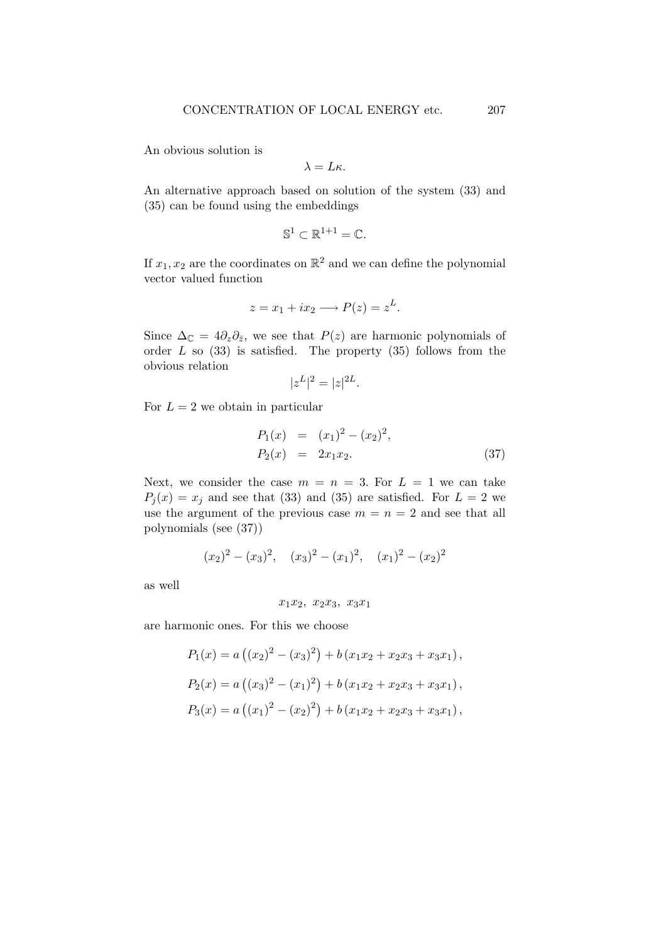An obvious solution is

$$
\lambda=L\kappa.
$$

An alternative approach based on solution of the system (33) and (35) can be found using the embeddings

$$
\mathbb{S}^1 \subset \mathbb{R}^{1+1} = \mathbb{C}.
$$

If  $x_1, x_2$  are the coordinates on  $\mathbb{R}^2$  and we can define the polynomial vector valued function

$$
z = x_1 + ix_2 \longrightarrow P(z) = z^L.
$$

Since  $\Delta_{\mathbb{C}} = 4\partial_z\partial_{\bar{z}},$  we see that  $P(z)$  are harmonic polynomials of order  $L$  so  $(33)$  is satisfied. The property  $(35)$  follows from the obvious relation

$$
|z^L|^2 = |z|^{2L}.
$$

For  $L = 2$  we obtain in particular

$$
P_1(x) = (x_1)^2 - (x_2)^2,
$$
  
\n
$$
P_2(x) = 2x_1x_2.
$$
\n(37)

Next, we consider the case  $m = n = 3$ . For  $L = 1$  we can take  $P_j(x) = x_j$  and see that (33) and (35) are satisfied. For  $L = 2$  we use the argument of the previous case  $m = n = 2$  and see that all polynomials (see (37))

$$
(x_2)^2 - (x_3)^2
$$
,  $(x_3)^2 - (x_1)^2$ ,  $(x_1)^2 - (x_2)^2$ 

as well

$$
x_1x_2, x_2x_3, x_3x_1
$$

are harmonic ones. For this we choose

$$
P_1(x) = a ((x_2)^2 - (x_3)^2) + b (x_1x_2 + x_2x_3 + x_3x_1),
$$
  
\n
$$
P_2(x) = a ((x_3)^2 - (x_1)^2) + b (x_1x_2 + x_2x_3 + x_3x_1),
$$
  
\n
$$
P_3(x) = a ((x_1)^2 - (x_2)^2) + b (x_1x_2 + x_2x_3 + x_3x_1),
$$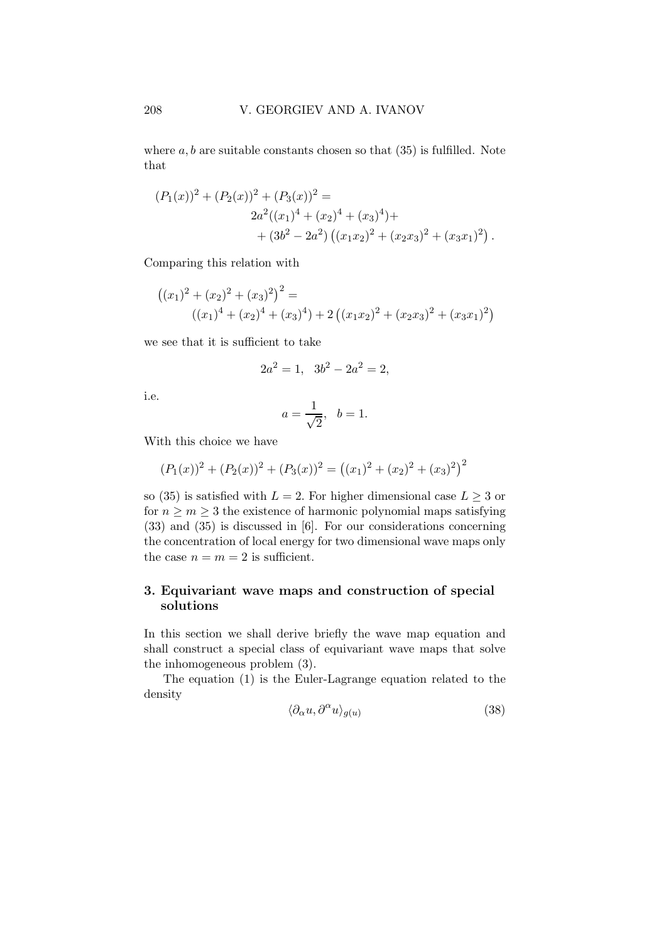where  $a, b$  are suitable constants chosen so that  $(35)$  is fulfilled. Note that

$$
(P_1(x))^2 + (P_2(x))^2 + (P_3(x))^2 =
$$
  
\n
$$
2a^2((x_1)^4 + (x_2)^4 + (x_3)^4) +
$$
  
\n
$$
+ (3b^2 - 2a^2) ((x_1x_2)^2 + (x_2x_3)^2 + (x_3x_1)^2).
$$

Comparing this relation with

$$
((x1)2 + (x2)2 + (x3)2)2 =
$$
  
((x<sub>1</sub>)<sup>4</sup> + (x<sub>2</sub>)<sup>4</sup> + (x<sub>3</sub>)<sup>4</sup>) + 2 ((x<sub>1</sub>x<sub>2</sub>)<sup>2</sup> + (x<sub>2</sub>x<sub>3</sub>)<sup>2</sup> + (x<sub>3</sub>x<sub>1</sub>)<sup>2</sup>)

we see that it is sufficient to take

$$
2a^2 = 1, \ \ 3b^2 - 2a^2 = 2,
$$

i.e.

$$
a = \frac{1}{\sqrt{2}}, \quad b = 1.
$$

With this choice we have

$$
(P_1(x))^2 + (P_2(x))^2 + (P_3(x))^2 = ((x_1)^2 + (x_2)^2 + (x_3)^2)^2
$$

so (35) is satisfied with  $L = 2$ . For higher dimensional case  $L \geq 3$  or for  $n \geq m \geq 3$  the existence of harmonic polynomial maps satisfying (33) and (35) is discussed in [6]. For our considerations concerning the concentration of local energy for two dimensional wave maps only the case  $n = m = 2$  is sufficient.

# 3. Equivariant wave maps and construction of special solutions

In this section we shall derive briefly the wave map equation and shall construct a special class of equivariant wave maps that solve the inhomogeneous problem (3).

The equation (1) is the Euler-Lagrange equation related to the density

$$
\langle \partial_{\alpha} u, \partial^{\alpha} u \rangle_{g(u)} \tag{38}
$$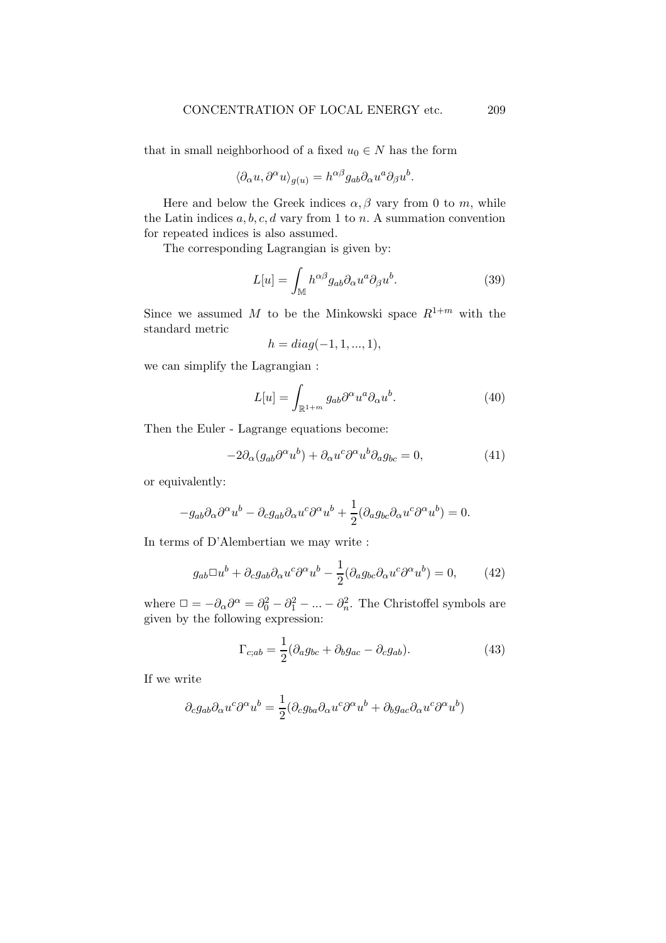that in small neighborhood of a fixed  $u_0 \in N$  has the form

$$
\langle \partial_{\alpha} u, \partial^{\alpha} u \rangle_{g(u)} = h^{\alpha \beta} g_{ab} \partial_{\alpha} u^a \partial_{\beta} u^b.
$$

Here and below the Greek indices  $\alpha, \beta$  vary from 0 to m, while the Latin indices  $a, b, c, d$  vary from 1 to n. A summation convention for repeated indices is also assumed.

The corresponding Lagrangian is given by:

$$
L[u] = \int_{\mathbb{M}} h^{\alpha\beta} g_{ab} \partial_{\alpha} u^a \partial_{\beta} u^b.
$$
 (39)

Since we assumed M to be the Minkowski space  $R^{1+m}$  with the standard metric

$$
h = diag(-1, 1, ..., 1),
$$

we can simplify the Lagrangian :

$$
L[u] = \int_{\mathbb{R}^{1+m}} g_{ab} \partial^{\alpha} u^{a} \partial_{\alpha} u^{b}.
$$
 (40)

Then the Euler - Lagrange equations become:

$$
-2\partial_{\alpha}(g_{ab}\partial^{\alpha}u^{b}) + \partial_{\alpha}u^{c}\partial^{\alpha}u^{b}\partial_{a}g_{bc} = 0, \qquad (41)
$$

or equivalently:

$$
-g_{ab}\partial_\alpha\partial^\alpha u^b-\partial_c g_{ab}\partial_\alpha u^c\partial^\alpha u^b+\frac{1}{2}(\partial_a g_{bc}\partial_\alpha u^c\partial^\alpha u^b)=0.
$$

In terms of D'Alembertian we may write :

$$
g_{ab}\Box u^b + \partial_c g_{ab}\partial_\alpha u^c \partial^\alpha u^b - \frac{1}{2}(\partial_a g_{bc}\partial_\alpha u^c \partial^\alpha u^b) = 0, \qquad (42)
$$

where  $\Box = -\partial_{\alpha}\partial^{\alpha} = \partial_0^2 - \partial_1^2 - \dots - \partial_n^2$ . The Christoffel symbols are given by the following expression:

$$
\Gamma_{c;ab} = \frac{1}{2} (\partial_a g_{bc} + \partial_b g_{ac} - \partial_c g_{ab}).
$$
\n(43)

If we write

$$
\partial_c g_{ab} \partial_\alpha u^c \partial^\alpha u^b = \frac{1}{2} (\partial_c g_{ba} \partial_\alpha u^c \partial^\alpha u^b + \partial_b g_{ac} \partial_\alpha u^c \partial^\alpha u^b)
$$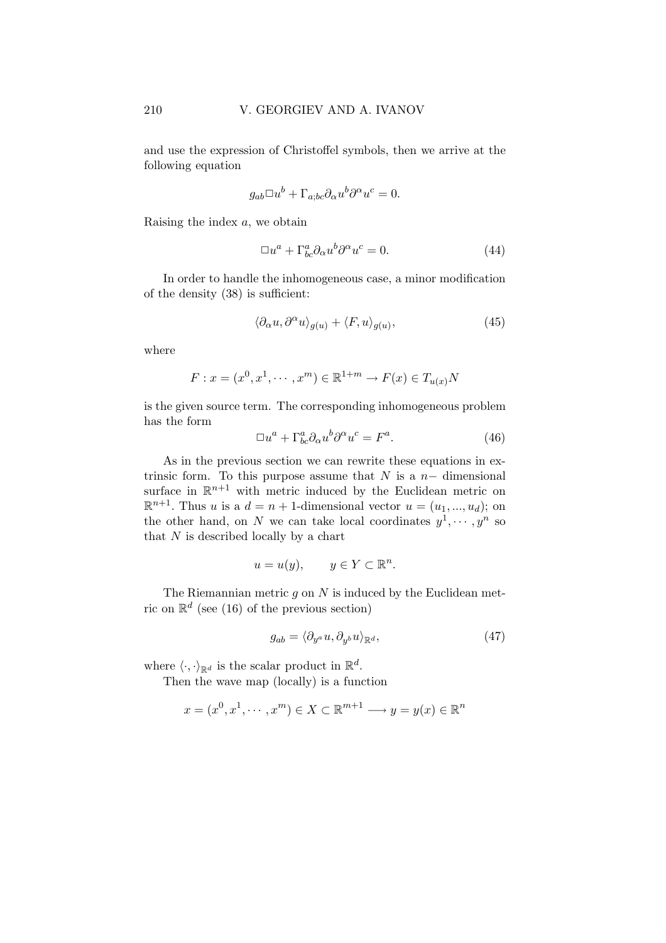and use the expression of Christoffel symbols, then we arrive at the following equation

$$
g_{ab}\Box u^b + \Gamma_{a;bc}\partial_\alpha u^b\partial^\alpha u^c = 0.
$$

Raising the index a, we obtain

$$
\Box u^a + \Gamma^a_{bc} \partial_\alpha u^b \partial^\alpha u^c = 0. \tag{44}
$$

In order to handle the inhomogeneous case, a minor modification of the density (38) is sufficient:

$$
\langle \partial_{\alpha} u, \partial^{\alpha} u \rangle_{g(u)} + \langle F, u \rangle_{g(u)},\tag{45}
$$

where

$$
F: x = (x^0, x^1, \dots, x^m) \in \mathbb{R}^{1+m} \to F(x) \in T_{u(x)}N
$$

is the given source term. The corresponding inhomogeneous problem has the form

$$
\Box u^a + \Gamma^a_{bc} \partial_\alpha u^b \partial^\alpha u^c = F^a. \tag{46}
$$

As in the previous section we can rewrite these equations in extrinsic form. To this purpose assume that  $N$  is a  $n-$  dimensional surface in  $\mathbb{R}^{n+1}$  with metric induced by the Euclidean metric on  $\mathbb{R}^{n+1}$ . Thus u is a  $d = n + 1$ -dimensional vector  $u = (u_1, ..., u_d)$ ; on the other hand, on N we can take local coordinates  $y^1, \dots, y^n$  so that  $N$  is described locally by a chart

$$
u = u(y), \qquad y \in Y \subset \mathbb{R}^n.
$$

The Riemannian metric  $g$  on  $N$  is induced by the Euclidean metric on  $\mathbb{R}^d$  (see (16) of the previous section)

$$
g_{ab} = \langle \partial_{y^a} u, \partial_{y^b} u \rangle_{\mathbb{R}^d},\tag{47}
$$

where  $\langle \cdot, \cdot \rangle_{\mathbb{R}^d}$  is the scalar product in  $\mathbb{R}^d$ .

Then the wave map (locally) is a function

$$
x = (x^0, x^1, \cdots, x^m) \in X \subset \mathbb{R}^{m+1} \longrightarrow y = y(x) \in \mathbb{R}^n
$$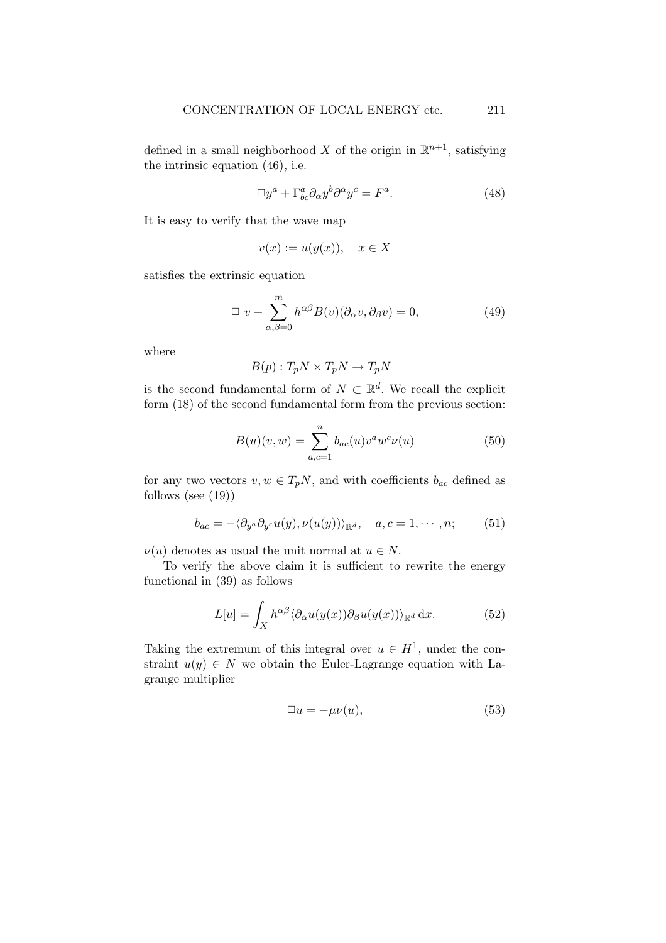defined in a small neighborhood X of the origin in  $\mathbb{R}^{n+1}$ , satisfying the intrinsic equation (46), i.e.

$$
\Box y^a + \Gamma^a_{bc} \partial_\alpha y^b \partial^\alpha y^c = F^a. \tag{48}
$$

It is easy to verify that the wave map

$$
v(x) := u(y(x)), \quad x \in X
$$

satisfies the extrinsic equation

$$
\Box v + \sum_{\alpha,\beta=0}^{m} h^{\alpha\beta} B(v) (\partial_{\alpha} v, \partial_{\beta} v) = 0, \qquad (49)
$$

where

$$
B(p): T_p N \times T_p N \to T_p N^{\perp}
$$

is the second fundamental form of  $N \subset \mathbb{R}^d$ . We recall the explicit form (18) of the second fundamental form from the previous section:

$$
B(u)(v, w) = \sum_{a, c=1}^{n} b_{ac}(u) v^{a} w^{c} \nu(u)
$$
 (50)

for any two vectors  $v, w \in T_pN$ , and with coefficients  $b_{ac}$  defined as follows (see (19))

$$
b_{ac} = -\langle \partial_{y^a} \partial_{y^c} u(y), \nu(u(y)) \rangle_{\mathbb{R}^d}, \quad a, c = 1, \cdots, n; \tag{51}
$$

 $\nu(u)$  denotes as usual the unit normal at  $u \in N$ .

To verify the above claim it is sufficient to rewrite the energy functional in (39) as follows

$$
L[u] = \int_X h^{\alpha\beta} \langle \partial_\alpha u(y(x)) \partial_\beta u(y(x)) \rangle_{\mathbb{R}^d} \, \mathrm{d}x. \tag{52}
$$

Taking the extremum of this integral over  $u \in H^1$ , under the constraint  $u(y) \in N$  we obtain the Euler-Lagrange equation with Lagrange multiplier

$$
\Box u = -\mu\nu(u),\tag{53}
$$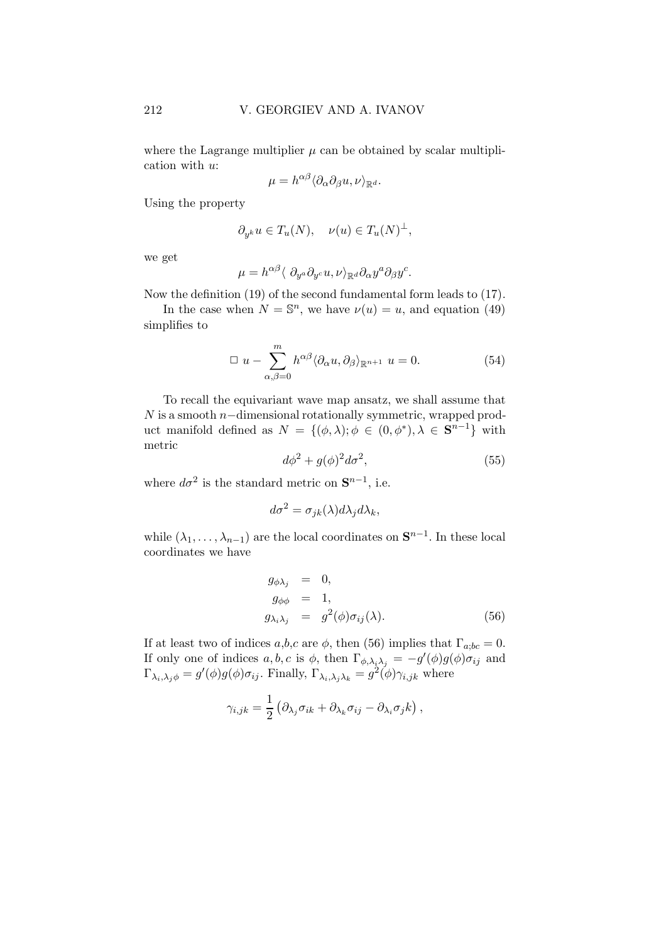where the Lagrange multiplier  $\mu$  can be obtained by scalar multiplication with u:

$$
\mu = h^{\alpha\beta} \langle \partial_{\alpha} \partial_{\beta} u, \nu \rangle_{\mathbb{R}^d}.
$$

Using the property

$$
\partial_{y^k} u \in T_u(N), \quad \nu(u) \in T_u(N)^\perp,
$$

we get

$$
\mu = h^{\alpha\beta} \langle \partial_{y^a} \partial_{y^c} u, \nu \rangle_{\mathbb{R}^d} \partial_{\alpha} y^a \partial_{\beta} y^c.
$$

Now the definition (19) of the second fundamental form leads to (17).

In the case when  $N = \mathbb{S}^n$ , we have  $\nu(u) = u$ , and equation (49) simplifies to

$$
\Box u - \sum_{\alpha,\beta=0}^{m} h^{\alpha\beta} \langle \partial_{\alpha} u, \partial_{\beta} \rangle_{\mathbb{R}^{n+1}} u = 0.
$$
 (54)

To recall the equivariant wave map ansatz, we shall assume that  $N$  is a smooth  $n$ −dimensional rotationally symmetric, wrapped product manifold defined as  $N = \{(\phi, \lambda); \phi \in (0, \phi^*), \lambda \in \mathbf{S}^{n-1}\}\$  with metric

$$
d\phi^2 + g(\phi)^2 d\sigma^2,\tag{55}
$$

where  $d\sigma^2$  is the standard metric on  $\mathbf{S}^{n-1}$ , i.e.

$$
d\sigma^2 = \sigma_{jk}(\lambda) d\lambda_j d\lambda_k,
$$

while  $(\lambda_1, \ldots, \lambda_{n-1})$  are the local coordinates on  $S^{n-1}$ . In these local coordinates we have

$$
g_{\phi\lambda_j} = 0,
$$
  
\n
$$
g_{\phi\phi} = 1,
$$
  
\n
$$
g_{\lambda_i\lambda_j} = g^2(\phi)\sigma_{ij}(\lambda).
$$
\n(56)

If at least two of indices  $a,b,c$  are  $\phi$ , then (56) implies that  $\Gamma_{a;bc} = 0$ . If only one of indices  $a, b, c$  is  $\phi$ , then  $\Gamma_{\phi, \lambda_i \lambda_j} = -g'(\phi)g(\phi)\sigma_{ij}$  and  $\Gamma_{\lambda_i,\lambda_j\phi} = g'(\phi)g(\phi)\sigma_{ij}$ . Finally,  $\Gamma_{\lambda_i,\lambda_j\lambda_k} = g^2(\phi)\gamma_{i,jk}$  where

$$
\gamma_{i,jk} = \frac{1}{2} \left( \partial_{\lambda_j} \sigma_{ik} + \partial_{\lambda_k} \sigma_{ij} - \partial_{\lambda_i} \sigma_j k \right),\,
$$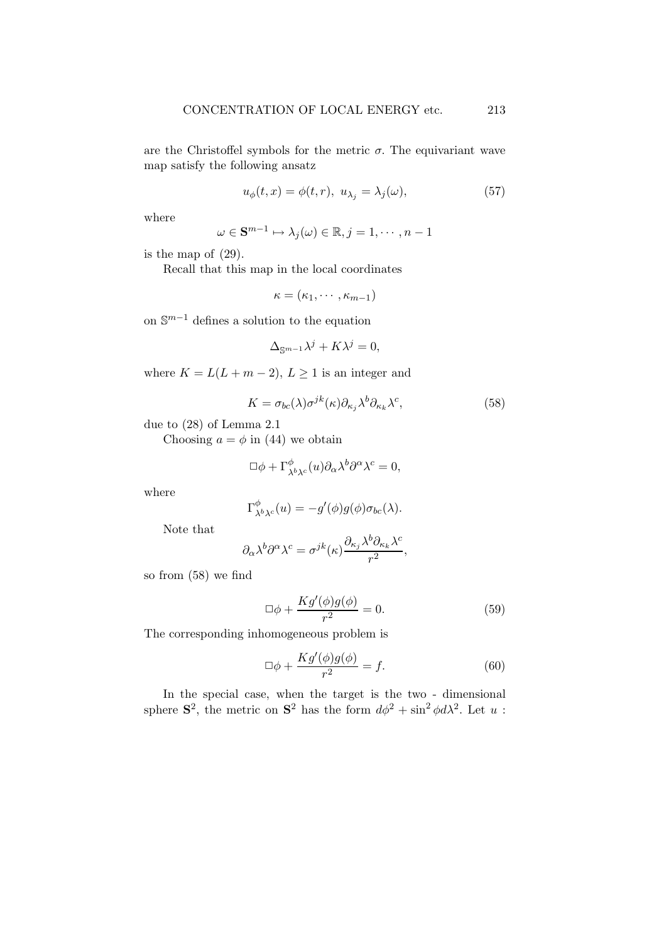are the Christoffel symbols for the metric  $\sigma$ . The equivariant wave map satisfy the following ansatz

$$
u_{\phi}(t,x) = \phi(t,r), \ u_{\lambda_j} = \lambda_j(\omega), \tag{57}
$$

where

$$
\omega \in \mathbf{S}^{m-1} \mapsto \lambda_j(\omega) \in \mathbb{R}, j = 1, \cdots, n-1
$$

is the map of (29).

Recall that this map in the local coordinates

$$
\kappa=(\kappa_1,\cdots,\kappa_{m-1})
$$

on  $\mathbb{S}^{m-1}$  defines a solution to the equation

$$
\Delta_{\mathbb{S}^{m-1}}\lambda^j + K\lambda^j = 0,
$$

where  $K = L(L + m - 2), L \ge 1$  is an integer and

$$
K = \sigma_{bc}(\lambda)\sigma^{jk}(\kappa)\partial_{\kappa_j}\lambda^b\partial_{\kappa_k}\lambda^c,\tag{58}
$$

due to (28) of Lemma 2.1

Choosing  $a = \phi$  in (44) we obtain

$$
\Box \phi + \Gamma^{\phi}_{\lambda^b \lambda^c}(u) \partial_\alpha \lambda^b \partial^\alpha \lambda^c = 0,
$$

where

$$
\Gamma^{\phi}_{\lambda^b \lambda^c}(u) = -g'(\phi)g(\phi)\sigma_{bc}(\lambda).
$$

Note that

$$
\partial_{\alpha}\lambda^{b}\partial^{\alpha}\lambda^{c} = \sigma^{jk}(\kappa)\frac{\partial_{\kappa_{j}}\lambda^{b}\partial_{\kappa_{k}}\lambda^{c}}{r^{2}},
$$

so from (58) we find

$$
\Box \phi + \frac{Kg'(\phi)g(\phi)}{r^2} = 0.
$$
\n(59)

The corresponding inhomogeneous problem is

$$
\Box \phi + \frac{Kg'(\phi)g(\phi)}{r^2} = f.
$$
\n(60)

In the special case, when the target is the two - dimensional sphere  $S^2$ , the metric on  $S^2$  has the form  $d\phi^2 + \sin^2 \phi d\lambda^2$ . Let u: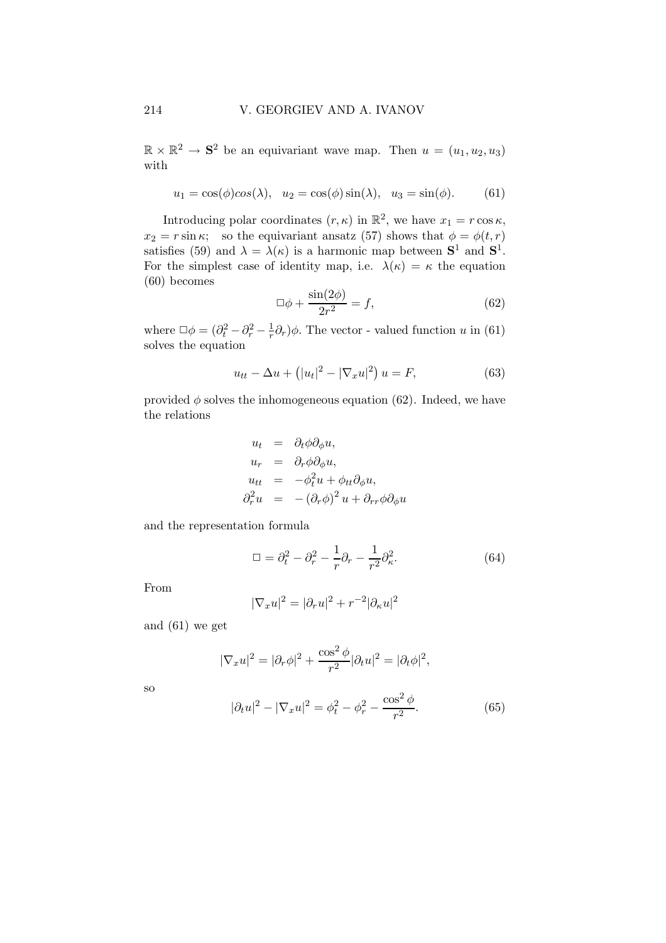$\mathbb{R} \times \mathbb{R}^2 \to \mathbf{S}^2$  be an equivariant wave map. Then  $u = (u_1, u_2, u_3)$ with

$$
u_1 = \cos(\phi)\cos(\lambda), \quad u_2 = \cos(\phi)\sin(\lambda), \quad u_3 = \sin(\phi). \tag{61}
$$

Introducing polar coordinates  $(r, \kappa)$  in  $\mathbb{R}^2$ , we have  $x_1 = r \cos \kappa$ ,  $x_2 = r \sin \kappa$ ; so the equivariant ansatz (57) shows that  $\phi = \phi(t, r)$ satisfies (59) and  $\lambda = \lambda(\kappa)$  is a harmonic map between  $S^1$  and  $S^1$ . For the simplest case of identity map, i.e.  $\lambda(\kappa) = \kappa$  the equation (60) becomes

$$
\Box \phi + \frac{\sin(2\phi)}{2r^2} = f,\tag{62}
$$

where  $\Box \phi = (\partial_t^2 - \partial_r^2 - \frac{1}{r})$  $\frac{1}{r}\partial_r$ ) $\phi$ . The vector - valued function u in (61) solves the equation

$$
u_{tt} - \Delta u + (|u_t|^2 - |\nabla_x u|^2) u = F,
$$
\n(63)

provided  $\phi$  solves the inhomogeneous equation (62). Indeed, we have the relations

$$
u_t = \partial_t \phi \partial_\phi u,
$$
  
\n
$$
u_r = \partial_r \phi \partial_\phi u,
$$
  
\n
$$
u_{tt} = -\phi_t^2 u + \phi_{tt} \partial_\phi u,
$$
  
\n
$$
\partial_r^2 u = -(\partial_r \phi)^2 u + \partial_{rr} \phi \partial_\phi u
$$

and the representation formula

$$
\Box = \partial_t^2 - \partial_r^2 - \frac{1}{r}\partial_r - \frac{1}{r^2}\partial_\kappa^2.
$$
 (64)

From

$$
|\nabla_x u|^2 = |\partial_r u|^2 + r^{-2} |\partial_\kappa u|^2
$$

and (61) we get

$$
|\nabla_x u|^2 = |\partial_r \phi|^2 + \frac{\cos^2 \phi}{r^2} |\partial_t u|^2 = |\partial_t \phi|^2,
$$

so

$$
|\partial_t u|^2 - |\nabla_x u|^2 = \phi_t^2 - \phi_r^2 - \frac{\cos^2 \phi}{r^2}.
$$
 (65)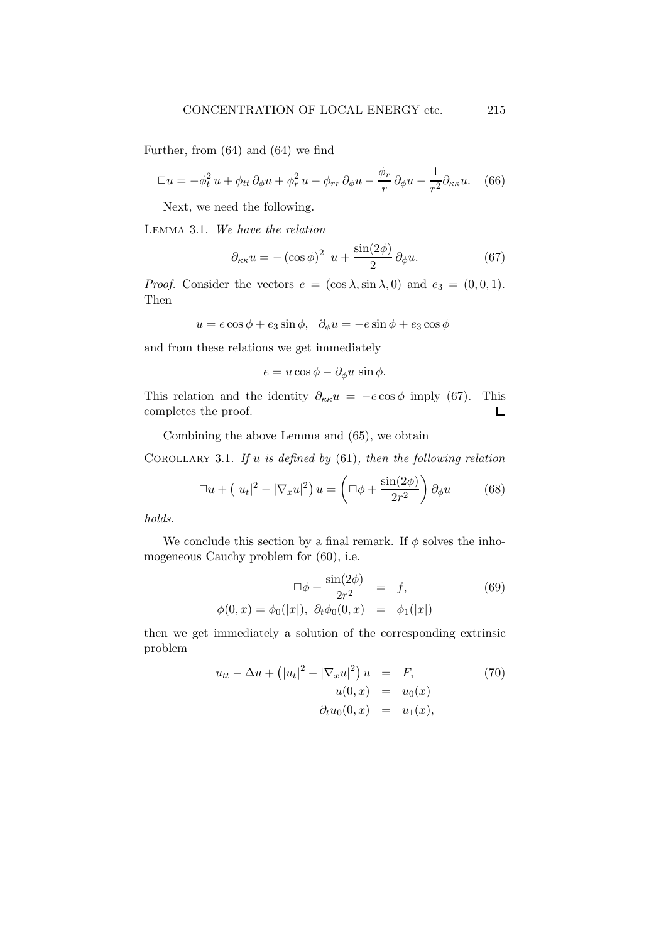Further, from (64) and (64) we find

$$
\Box u = -\phi_t^2 u + \phi_{tt} \, \partial_\phi u + \phi_r^2 u - \phi_{rr} \, \partial_\phi u - \frac{\phi_r}{r} \, \partial_\phi u - \frac{1}{r^2} \partial_{\kappa \kappa} u. \tag{66}
$$

Next, we need the following.

Lemma 3.1. We have the relation

$$
\partial_{\kappa\kappa}u = -(\cos\phi)^2 u + \frac{\sin(2\phi)}{2}\partial_{\phi}u.
$$
 (67)

*Proof.* Consider the vectors  $e = (\cos \lambda, \sin \lambda, 0)$  and  $e_3 = (0, 0, 1)$ . Then

$$
u = e \cos \phi + e_3 \sin \phi, \ \ \partial_{\phi} u = -e \sin \phi + e_3 \cos \phi
$$

and from these relations we get immediately

$$
e = u\cos\phi - \partial_{\phi}u\,\sin\phi.
$$

This relation and the identity  $\partial_{\kappa \kappa} u = -e \cos \phi$  imply (67). This completes the proof. completes the proof.

Combining the above Lemma and (65), we obtain

COROLLARY 3.1. If u is defined by  $(61)$ , then the following relation

$$
\Box u + \left(|u_t|^2 - |\nabla_x u|^2\right) u = \left(\Box \phi + \frac{\sin(2\phi)}{2r^2}\right) \partial_\phi u \tag{68}
$$

holds.

We conclude this section by a final remark. If  $\phi$  solves the inhomogeneous Cauchy problem for (60), i.e.

$$
\Box \phi + \frac{\sin(2\phi)}{2r^2} = f,
$$
\n(69)  
\n
$$
\phi(0, x) = \phi_0(|x|), \ \partial_t \phi_0(0, x) = \phi_1(|x|)
$$

then we get immediately a solution of the corresponding extrinsic problem

$$
u_{tt} - \Delta u + (|u_t|^2 - |\nabla_x u|^2) u = F,
$$
  
\n
$$
u(0, x) = u_0(x)
$$
  
\n
$$
\partial_t u_0(0, x) = u_1(x),
$$
\n(70)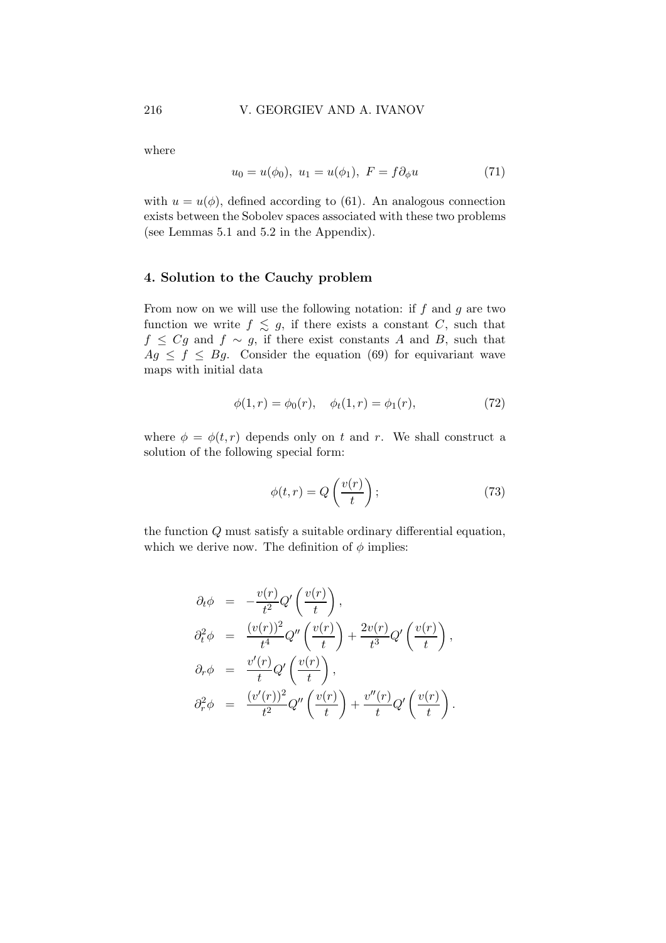where

$$
u_0 = u(\phi_0), \ u_1 = u(\phi_1), \ F = f\partial_\phi u \tag{71}
$$

with  $u = u(\phi)$ , defined according to (61). An analogous connection exists between the Sobolev spaces associated with these two problems (see Lemmas 5.1 and 5.2 in the Appendix).

## 4. Solution to the Cauchy problem

From now on we will use the following notation: if  $f$  and  $g$  are two function we write  $f \lesssim g$ , if there exists a constant C, such that  $f \leq Cg$  and  $f \sim g$ , if there exist constants A and B, such that  $Ag \leq f \leq Bg$ . Consider the equation (69) for equivariant wave maps with initial data

$$
\phi(1,r) = \phi_0(r), \quad \phi_t(1,r) = \phi_1(r), \tag{72}
$$

where  $\phi = \phi(t, r)$  depends only on t and r. We shall construct a solution of the following special form:

$$
\phi(t,r) = Q\left(\frac{v(r)}{t}\right);
$$
\n(73)

the function Q must satisfy a suitable ordinary differential equation, which we derive now. The definition of  $\phi$  implies:

$$
\partial_t \phi = -\frac{v(r)}{t^2} Q' \left( \frac{v(r)}{t} \right),
$$
  
\n
$$
\partial_t^2 \phi = \frac{(v(r))^2}{t^4} Q'' \left( \frac{v(r)}{t} \right) + \frac{2v(r)}{t^3} Q' \left( \frac{v(r)}{t} \right),
$$
  
\n
$$
\partial_r \phi = \frac{v'(r)}{t} Q' \left( \frac{v(r)}{t} \right),
$$
  
\n
$$
\partial_r^2 \phi = \frac{(v'(r))^2}{t^2} Q'' \left( \frac{v(r)}{t} \right) + \frac{v''(r)}{t} Q' \left( \frac{v(r)}{t} \right).
$$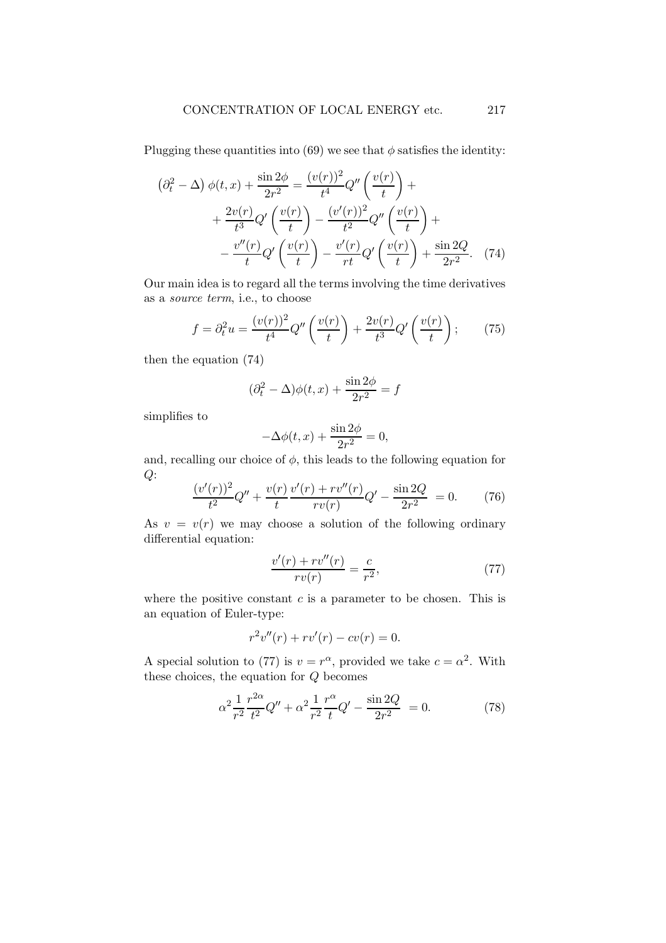Plugging these quantities into (69) we see that  $\phi$  satisfies the identity:

$$
\left(\partial_t^2 - \Delta\right)\phi(t,x) + \frac{\sin 2\phi}{2r^2} = \frac{(v(r))^2}{t^4}Q''\left(\frac{v(r)}{t}\right) +
$$

$$
+ \frac{2v(r)}{t^3}Q'\left(\frac{v(r)}{t}\right) - \frac{(v'(r))^2}{t^2}Q''\left(\frac{v(r)}{t}\right) +
$$

$$
- \frac{v''(r)}{t}Q'\left(\frac{v(r)}{t}\right) - \frac{v'(r)}{rt}Q'\left(\frac{v(r)}{t}\right) + \frac{\sin 2Q}{2r^2}.\tag{74}
$$

Our main idea is to regard all the terms involving the time derivatives as a source term, i.e., to choose

$$
f = \partial_t^2 u = \frac{(v(r))^2}{t^4} Q''\left(\frac{v(r)}{t}\right) + \frac{2v(r)}{t^3} Q'\left(\frac{v(r)}{t}\right); \tag{75}
$$

then the equation (74)

$$
(\partial_t^2 - \Delta)\phi(t, x) + \frac{\sin 2\phi}{2r^2} = f
$$

simplifies to

$$
-\Delta\phi(t,x) + \frac{\sin 2\phi}{2r^2} = 0,
$$

and, recalling our choice of  $\phi$ , this leads to the following equation for  $Q$ :

$$
\frac{(v'(r))^{2}}{t^{2}}Q'' + \frac{v(r)}{t}\frac{v'(r) + rv''(r)}{rv(r)}Q' - \frac{\sin 2Q}{2r^{2}} = 0.
$$
 (76)

As  $v = v(r)$  we may choose a solution of the following ordinary differential equation:

$$
\frac{v'(r) + rv''(r)}{rv(r)} = \frac{c}{r^2},\tag{77}
$$

where the positive constant  $c$  is a parameter to be chosen. This is an equation of Euler-type:

$$
r^2v''(r) + rv'(r) - cv(r) = 0.
$$

A special solution to (77) is  $v = r^{\alpha}$ , provided we take  $c = \alpha^2$ . With these choices, the equation for Q becomes

$$
\alpha^2 \frac{1}{r^2} \frac{r^{2\alpha}}{t^2} Q'' + \alpha^2 \frac{1}{r^2} \frac{r^{\alpha}}{t} Q' - \frac{\sin 2Q}{2r^2} = 0.
$$
 (78)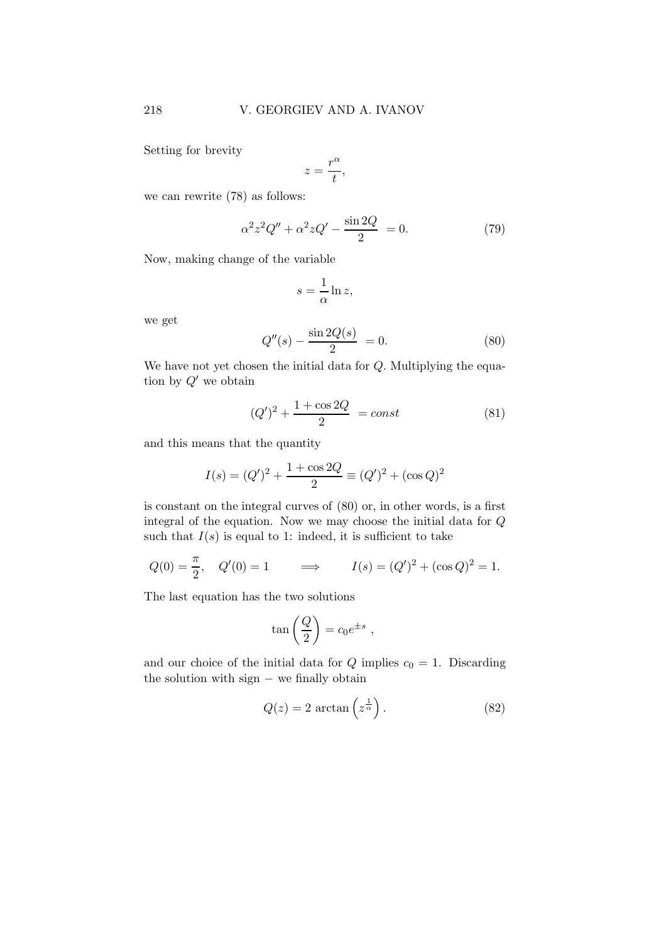Setting for brevity

$$
z = \frac{r^{\alpha}}{t},
$$

we can rewrite (78) as follows:

$$
\alpha^2 z^2 Q'' + \alpha^2 z Q' - \frac{\sin 2Q}{2} = 0.
$$
 (79)

Now, making change of the variable

$$
s = \frac{1}{\alpha} \ln z,
$$

we get

$$
Q''(s) - \frac{\sin 2Q(s)}{2} = 0.
$$
 (80)

We have not yet chosen the initial data for  $Q$ . Multiplying the equation by  $Q'$  we obtain

$$
(Q')^{2} + \frac{1 + \cos 2Q}{2} = const
$$
 (81)

and this means that the quantity

$$
I(s) = (Q')^{2} + \frac{1 + \cos 2Q}{2} \equiv (Q')^{2} + (\cos Q)^{2}
$$

is constant on the integral curves of (80) or, in other words, is a first integral of the equation. Now we may choose the initial data for  $\cal Q$ such that  $I(s)$  is equal to 1: indeed, it is sufficient to take

$$
Q(0) = \frac{\pi}{2}
$$
,  $Q'(0) = 1$   $\implies$   $I(s) = (Q')^2 + (\cos Q)^2 = 1$ .

The last equation has the two solutions

$$
\tan\left(\frac{Q}{2}\right) = c_0 e^{\pm s} ,
$$

and our choice of the initial data for  $Q$  implies  $c_0 = 1$ . Discarding the solution with sign − we finally obtain

$$
Q(z) = 2 \arctan\left(z^{\frac{1}{\alpha}}\right). \tag{82}
$$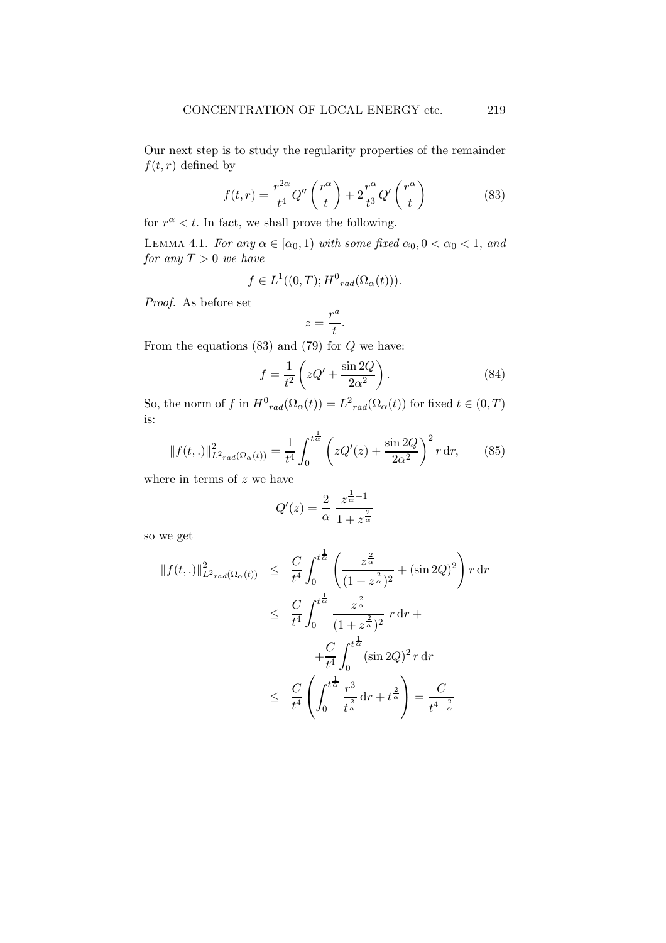Our next step is to study the regularity properties of the remainder  $f(t,r)$  defined by

$$
f(t,r) = \frac{r^{2\alpha}}{t^4} Q''\left(\frac{r^{\alpha}}{t}\right) + 2\frac{r^{\alpha}}{t^3} Q'\left(\frac{r^{\alpha}}{t}\right)
$$
 (83)

for  $r^{\alpha} < t$ . In fact, we shall prove the following.

LEMMA 4.1. For any  $\alpha \in [\alpha_0, 1)$  with some fixed  $\alpha_0, 0 < \alpha_0 < 1$ , and for any  $T > 0$  we have

$$
f \in L^1((0,T); H^0_{rad}(\Omega_\alpha(t))).
$$

Proof. As before set

$$
z = \frac{r^a}{t}.
$$

From the equations  $(83)$  and  $(79)$  for  $Q$  we have:

$$
f = \frac{1}{t^2} \left( zQ' + \frac{\sin 2Q}{2\alpha^2} \right). \tag{84}
$$

So, the norm of f in  $H^0_{rad}(\Omega_\alpha(t)) = L^2_{rad}(\Omega_\alpha(t))$  for fixed  $t \in (0, T)$ is:

$$
||f(t,.)||_{L^{2}r_{ad}(\Omega_{\alpha}(t))}^{2} = \frac{1}{t^{4}} \int_{0}^{t^{\frac{1}{\alpha}}} \left( zQ'(z) + \frac{\sin 2Q}{2\alpha^{2}} \right)^{2} r \, dr, \qquad (85)
$$

where in terms of  $z$  we have

$$
Q'(z) = \frac{2}{\alpha} \frac{z^{\frac{1}{\alpha}-1}}{1+z^{\frac{2}{\alpha}}}
$$

so we get

$$
||f(t,.)||_{L^{2}rad(\Omega_{\alpha}(t))}^{2} \leq \frac{C}{t^{4}} \int_{0}^{t^{\frac{1}{\alpha}}} \left( \frac{z^{\frac{2}{\alpha}}}{(1+z^{\frac{2}{\alpha}})^{2}} + (\sin 2Q)^{2} \right) r dr
$$
  

$$
\leq \frac{C}{t^{4}} \int_{0}^{t^{\frac{1}{\alpha}}} \frac{z^{\frac{2}{\alpha}}}{(1+z^{\frac{2}{\alpha}})^{2}} r dr +
$$
  

$$
+ \frac{C}{t^{4}} \int_{0}^{t^{\frac{1}{\alpha}}} (\sin 2Q)^{2} r dr
$$
  

$$
\leq \frac{C}{t^{4}} \left( \int_{0}^{t^{\frac{1}{\alpha}}} \frac{r^{3}}{t^{\frac{2}{\alpha}}} dr + t^{\frac{2}{\alpha}} \right) = \frac{C}{t^{4-\frac{2}{\alpha}}}
$$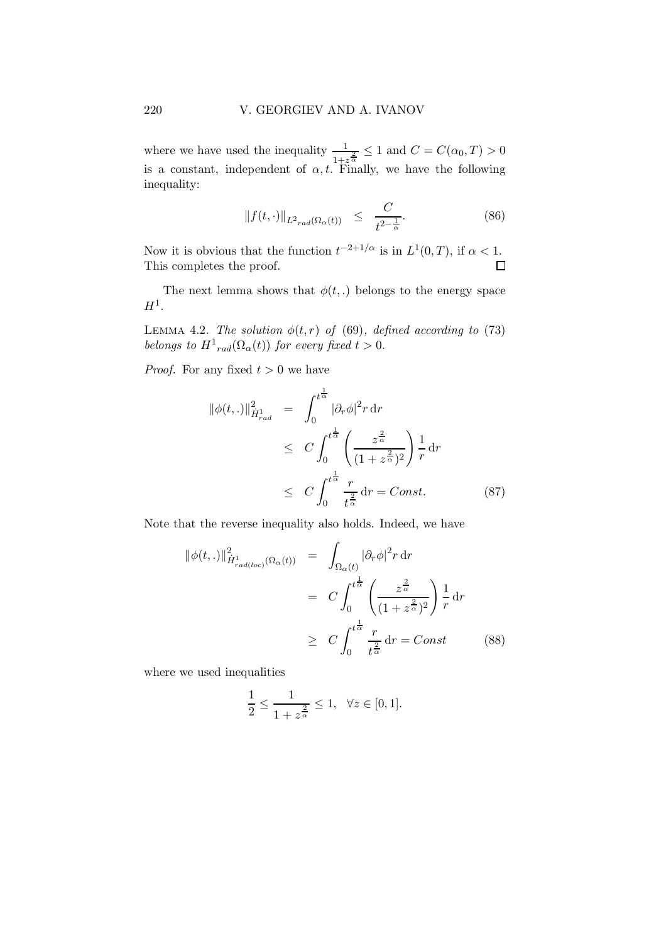where we have used the inequality  $\frac{1}{1+z^{\frac{2}{\alpha}}} \leq 1$  and  $C = C(\alpha_0, T) > 0$ is a constant, independent of  $\alpha, t$ . Finally, we have the following inequality:

$$
||f(t, \cdot)||_{L^2_{rad}(\Omega_\alpha(t))} \leq \frac{C}{t^{2-\frac{1}{\alpha}}}.
$$
\n(86)

Now it is obvious that the function  $t^{-2+1/\alpha}$  is in  $L^1(0,T)$ , if  $\alpha < 1$ . This completes the proof.  $\Box$ 

The next lemma shows that  $\phi(t,.)$  belongs to the energy space  $H^1.$ 

LEMMA 4.2. The solution  $\phi(t, r)$  of (69), defined according to (73) belongs to  $H_{rad}^1(\Omega_\alpha(t))$  for every fixed  $t > 0$ .

*Proof.* For any fixed  $t > 0$  we have

$$
\begin{split} \|\phi(t,.)\|_{\dot{H}^1_{rad}}^2 &= \int_0^{t^{\frac{1}{\alpha}}} |\partial_r \phi|^2 r \, \mathrm{d}r \\ &\le C \int_0^{t^{\frac{1}{\alpha}}} \left(\frac{z^{\frac{2}{\alpha}}}{(1+z^{\frac{2}{\alpha}})^2}\right) \frac{1}{r} \, \mathrm{d}r \\ &\le C \int_0^{t^{\frac{1}{\alpha}}} \frac{r}{t^{\frac{2}{\alpha}}} \, \mathrm{d}r = Const. \end{split} \tag{87}
$$

Note that the reverse inequality also holds. Indeed, we have

$$
\|\phi(t,.)\|_{\dot{H}^1_{rad(loc)}}^2(\Omega_\alpha(t)) = \int_{\Omega_\alpha(t)} |\partial_r \phi|^2 r \, dr
$$
  

$$
= C \int_0^{t^{\frac{1}{\alpha}}} \left( \frac{z^{\frac{2}{\alpha}}}{(1+z^{\frac{2}{\alpha}})^2} \right) \frac{1}{r} \, dr
$$
  

$$
\geq C \int_0^{t^{\frac{1}{\alpha}}} \frac{r}{t^{\frac{2}{\alpha}}} dr = Const
$$
 (88)

where we used inequalities

$$
\frac{1}{2} \le \frac{1}{1+z^{\frac{2}{\alpha}}} \le 1, \ \ \forall z \in [0,1].
$$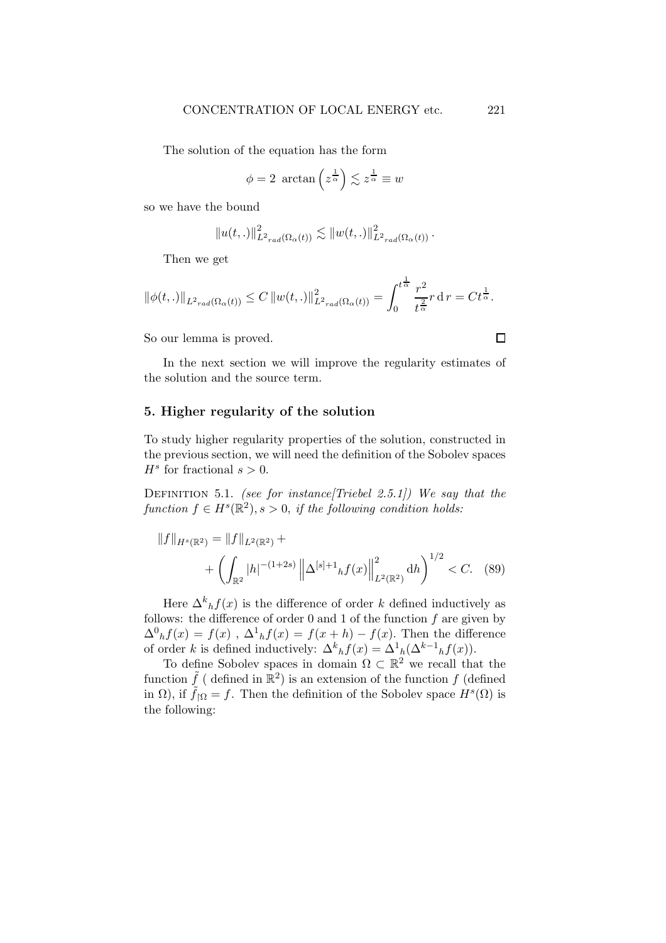The solution of the equation has the form

$$
\phi = 2 \arctan\left(z^{\frac{1}{\alpha}}\right) \lesssim z^{\frac{1}{\alpha}} \equiv w
$$

so we have the bound

$$
||u(t,.)||_{L^{2}r_{rad}(\Omega_{\alpha}(t))}^{2} \lesssim ||w(t,.)||_{L^{2}r_{rad}(\Omega_{\alpha}(t))}^{2}.
$$

Then we get

$$
\|\phi(t,.)\|_{L^2_{rad}(\Omega_{\alpha}(t))} \leq C \|w(t,.)\|_{L^2_{rad}(\Omega_{\alpha}(t))}^2 = \int_0^{t^{\frac{1}{\alpha}}} \frac{r^2}{t^{\frac{2}{\alpha}}} r \, dr = C t^{\frac{1}{\alpha}}.
$$

So our lemma is proved.

In the next section we will improve the regularity estimates of the solution and the source term.

## 5. Higher regularity of the solution

To study higher regularity properties of the solution, constructed in the previous section, we will need the definition of the Sobolev spaces  $H^s$  for fractional  $s > 0$ .

DEFINITION 5.1. (see for instance [Triebel 2.5.1]) We say that the  $function f \in H<sup>s</sup>(\mathbb{R}<sup>2</sup>), s > 0, if the following condition holds:$ 

$$
||f||_{H^{s}(\mathbb{R}^{2})} = ||f||_{L^{2}(\mathbb{R}^{2})} + \left( \int_{\mathbb{R}^{2}} |h|^{-\left(1+2s\right)} \left\| \Delta^{[s]+1} h f(x) \right\|_{L^{2}(\mathbb{R}^{2})}^{2} dh \right)^{1/2} < C. \quad (89)
$$

Here  $\Delta^k_h f(x)$  is the difference of order k defined inductively as follows: the difference of order  $0$  and  $1$  of the function  $f$  are given by  $\Delta^0_h f(x) = f(x)$ ,  $\Delta^1_h f(x) = f(x+h) - f(x)$ . Then the difference of order k is defined inductively:  $\Delta^k_h f(x) = \Delta^1_h(\Delta^{k-1}_h f(x))$ .

To define Sobolev spaces in domain  $\Omega \subset \mathbb{R}^2$  we recall that the function  $\tilde{f}$  (defined in  $\mathbb{R}^2$ ) is an extension of the function f (defined in  $\Omega$ ), if  $\tilde{f}_{\vert \Omega} = f$ . Then the definition of the Sobolev space  $H^s(\Omega)$  is the following:

 $\Box$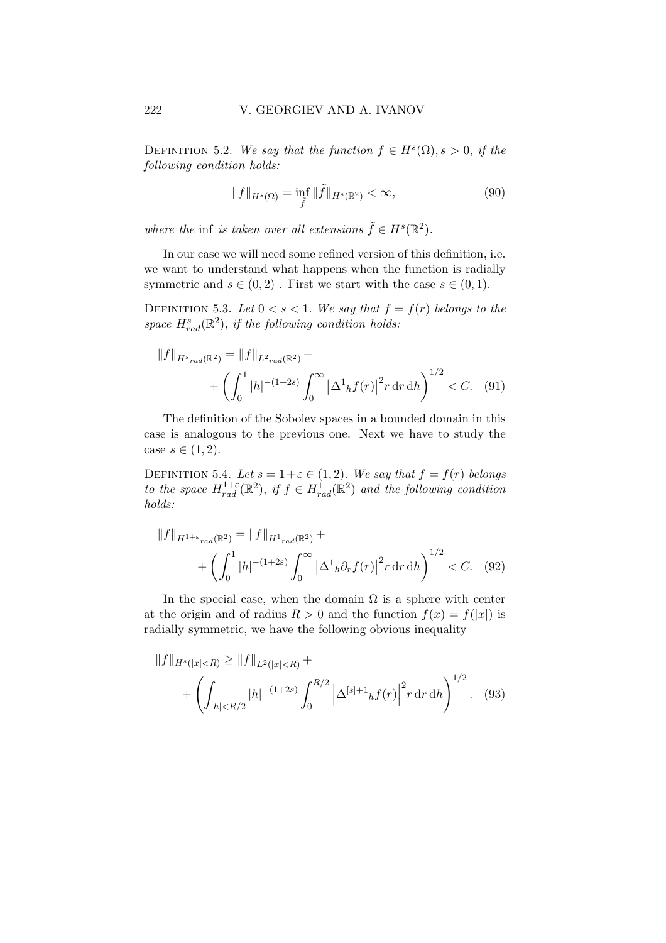DEFINITION 5.2. We say that the function  $f \in H^s(\Omega)$ ,  $s > 0$ , if the following condition holds:

$$
||f||_{H^{s}(\Omega)} = \inf_{\tilde{f}} ||\tilde{f}||_{H^{s}(\mathbb{R}^{2})} < \infty,
$$
\n(90)

where the inf is taken over all extensions  $\tilde{f} \in H^s(\mathbb{R}^2)$ .

In our case we will need some refined version of this definition, i.e. we want to understand what happens when the function is radially symmetric and  $s \in (0, 2)$ . First we start with the case  $s \in (0, 1)$ .

DEFINITION 5.3. Let  $0 < s < 1$ . We say that  $f = f(r)$  belongs to the space  $H_{rad}^{s}(\mathbb{R}^{2}),$  if the following condition holds:

$$
||f||_{H^{s}{}_{rad}(\mathbb{R}^{2})} = ||f||_{L^{2}{}_{rad}(\mathbb{R}^{2})} + \n+ \left( \int_{0}^{1} |h|^{-(1+2s)} \int_{0}^{\infty} |\Delta^{1}{}_{h} f(r)|^{2} r \, dr \, dh \right)^{1/2} < C. \tag{91}
$$

The definition of the Sobolev spaces in a bounded domain in this case is analogous to the previous one. Next we have to study the case  $s \in (1,2)$ .

DEFINITION 5.4. Let  $s = 1+\varepsilon \in (1,2)$ . We say that  $f = f(r)$  belongs to the space  $H_{rad}^{1+\varepsilon}(\mathbb{R}^2)$ , if  $f \in H_{rad}^1(\mathbb{R}^2)$  and the following condition holds:

$$
||f||_{H^{1+\varepsilon}rad(\mathbb{R}^2)} = ||f||_{H^1rad(\mathbb{R}^2)} + \left( \int_0^1 |h|^{-(1+2\varepsilon)} \int_0^\infty \left| \Delta^1_h \partial_r f(r) \right|^2 r \, dr \, dh \right)^{1/2} < C. \tag{92}
$$

In the special case, when the domain  $\Omega$  is a sphere with center at the origin and of radius  $R > 0$  and the function  $f(x) = f(|x|)$  is radially symmetric, we have the following obvious inequality

$$
||f||_{H^{s}(|x| (93)
$$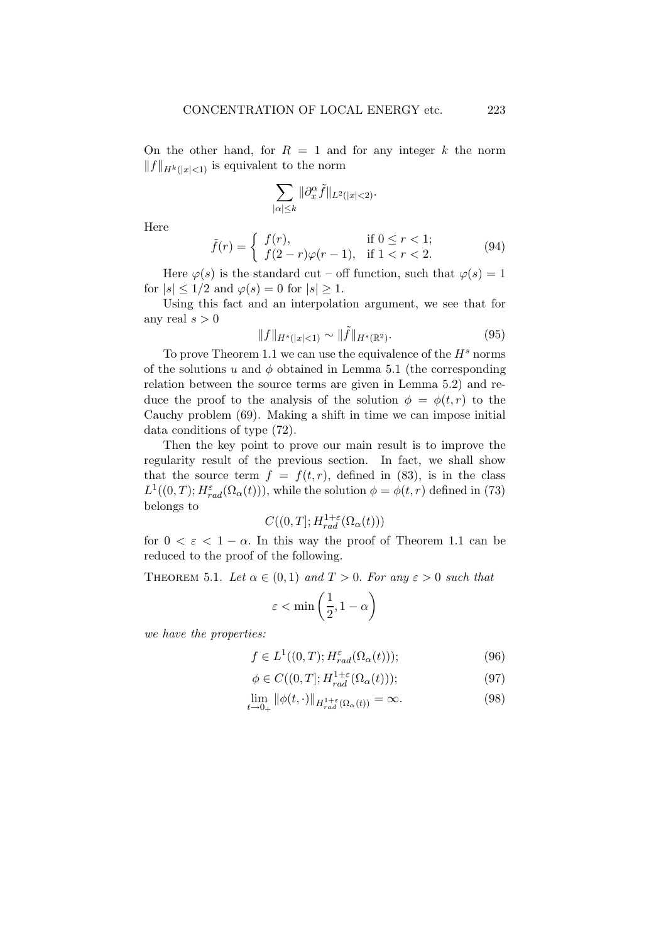On the other hand, for  $R = 1$  and for any integer k the norm  $||f||_{H^k(|x|<1)}$  is equivalent to the norm

$$
\sum_{|\alpha|\leq k}\|\partial_x^\alpha \tilde{f}\|_{L^2(|x|<2)}.
$$

Here

$$
\tilde{f}(r) = \begin{cases} f(r), & \text{if } 0 \le r < 1; \\ f(2-r)\varphi(r-1), & \text{if } 1 < r < 2. \end{cases}
$$
\n(94)

Here  $\varphi(s)$  is the standard cut – off function, such that  $\varphi(s) = 1$ for  $|s| \leq 1/2$  and  $\varphi(s) = 0$  for  $|s| \geq 1$ .

Using this fact and an interpolation argument, we see that for any real  $s > 0$ 

$$
||f||_{H^{s}(|x|<1)} \sim ||\tilde{f}||_{H^{s}(\mathbb{R}^{2})}.
$$
\n(95)

To prove Theorem 1.1 we can use the equivalence of the  $H<sup>s</sup>$  norms of the solutions u and  $\phi$  obtained in Lemma 5.1 (the corresponding relation between the source terms are given in Lemma 5.2) and reduce the proof to the analysis of the solution  $\phi = \phi(t, r)$  to the Cauchy problem (69). Making a shift in time we can impose initial data conditions of type (72).

Then the key point to prove our main result is to improve the regularity result of the previous section. In fact, we shall show that the source term  $f = f(t,r)$ , defined in (83), is in the class  $L^1((0,T); H^{\varepsilon}_{rad}(\Omega_{\alpha}(t))),$  while the solution  $\phi = \phi(t,r)$  defined in (73) belongs to

$$
C((0,T];H_{rad}^{1+\varepsilon}(\Omega_{\alpha}(t)))
$$

for  $0 < \varepsilon < 1 - \alpha$ . In this way the proof of Theorem 1.1 can be reduced to the proof of the following.

THEOREM 5.1. Let  $\alpha \in (0,1)$  and  $T > 0$ . For any  $\varepsilon > 0$  such that

$$
\varepsilon < \min\left( \frac{1}{2}, 1 - \alpha \right)
$$

we have the properties:

$$
f \in L^{1}((0,T); H_{rad}^{\varepsilon}(\Omega_{\alpha}(t)))
$$
 (96)

$$
\phi \in C((0,T]; H_{rad}^{1+\varepsilon}(\Omega_{\alpha}(t))), \tag{97}
$$

$$
\lim_{t \to 0_+} \|\phi(t, \cdot)\|_{H_{rad}^{1+\varepsilon}(\Omega_\alpha(t))} = \infty. \tag{98}
$$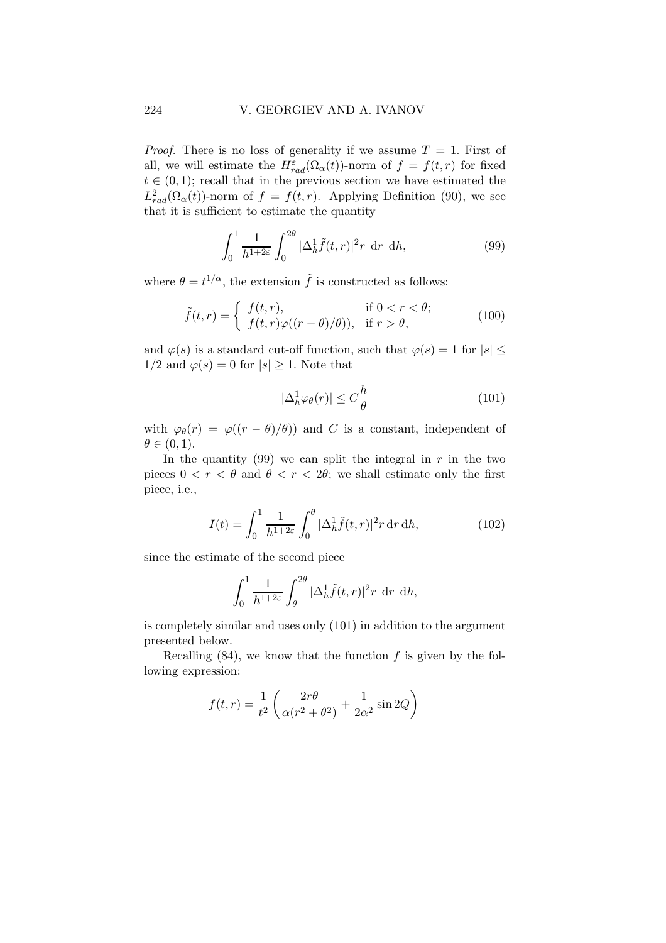*Proof.* There is no loss of generality if we assume  $T = 1$ . First of all, we will estimate the  $H_{rad}^{\varepsilon}(\Omega_{\alpha}(t))$ -norm of  $f = f(t,r)$  for fixed  $t \in (0,1)$ ; recall that in the previous section we have estimated the  $L_{rad}^2(\Omega_\alpha(t))$ -norm of  $f = f(t,r)$ . Applying Definition (90), we see that it is sufficient to estimate the quantity

$$
\int_0^1 \frac{1}{h^{1+2\varepsilon}} \int_0^{2\theta} |\Delta_h^1 \tilde{f}(t, r)|^2 r \, dr \, dh,\tag{99}
$$

where  $\theta = t^{1/\alpha}$ , the extension  $\tilde{f}$  is constructed as follows:

$$
\tilde{f}(t,r) = \begin{cases}\nf(t,r), & \text{if } 0 < r < \theta; \\
f(t,r)\varphi((r-\theta)/\theta)), & \text{if } r > \theta,\n\end{cases}\n\tag{100}
$$

and  $\varphi(s)$  is a standard cut-off function, such that  $\varphi(s) = 1$  for  $|s|$  <  $1/2$  and  $\varphi(s) = 0$  for  $|s| > 1$ . Note that

$$
|\Delta_h^1 \varphi_\theta(r)| \le C \frac{h}{\theta} \tag{101}
$$

with  $\varphi_{\theta}(r) = \varphi((r - \theta)/\theta)$  and C is a constant, independent of  $\theta \in (0,1)$ .

In the quantity (99) we can split the integral in  $r$  in the two pieces  $0 < r < \theta$  and  $\theta < r < 2\theta$ ; we shall estimate only the first piece, i.e.,

$$
I(t) = \int_0^1 \frac{1}{h^{1+2\varepsilon}} \int_0^\theta |\Delta_h^1 \tilde{f}(t, r)|^2 r \, dr \, dh,
$$
 (102)

since the estimate of the second piece

$$
\int_0^1 \frac{1}{h^{1+2\varepsilon}} \int_\theta^{2\theta} |\Delta_h^1 \tilde{f}(t,r)|^2 r \, dr \, dh,
$$

is completely similar and uses only (101) in addition to the argument presented below.

Recalling  $(84)$ , we know that the function f is given by the following expression:

$$
f(t,r) = \frac{1}{t^2} \left( \frac{2r\theta}{\alpha(r^2 + \theta^2)} + \frac{1}{2\alpha^2} \sin 2Q \right)
$$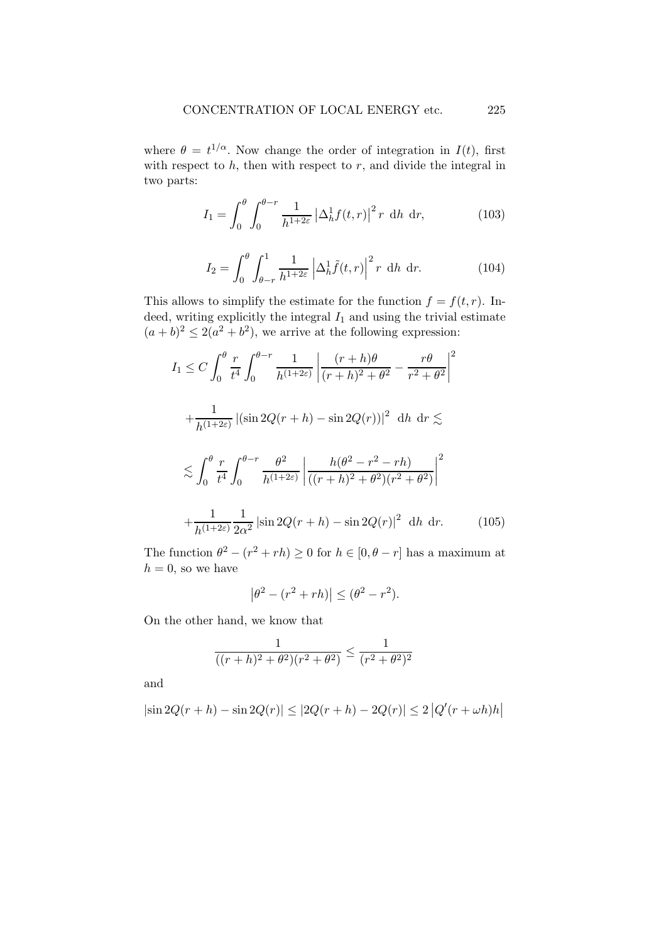where  $\theta = t^{1/\alpha}$ . Now change the order of integration in  $I(t)$ , first with respect to  $h$ , then with respect to  $r$ , and divide the integral in two parts:

$$
I_1 = \int_0^{\theta} \int_0^{\theta - r} \frac{1}{h^{1 + 2\varepsilon}} \left| \Delta_h^1 f(t, r) \right|^2 r \, \mathrm{d}h \, \mathrm{d}r,\tag{103}
$$

$$
I_2 = \int_0^\theta \int_{\theta-r}^1 \frac{1}{h^{1+2\varepsilon}} \left| \Delta_h^1 \tilde{f}(t,r) \right|^2 r \, \mathrm{d}h \, \mathrm{d}r. \tag{104}
$$

This allows to simplify the estimate for the function  $f = f(t, r)$ . Indeed, writing explicitly the integral  $I_1$  and using the trivial estimate  $(a + b)^2 \leq 2(a^2 + b^2)$ , we arrive at the following expression:

$$
I_1 \leq C \int_0^{\theta} \frac{r}{t^4} \int_0^{\theta-r} \frac{1}{h^{(1+2\varepsilon)}} \left| \frac{(r+h)\theta}{(r+h)^2 + \theta^2} - \frac{r\theta}{r^2 + \theta^2} \right|^2
$$
  
+ 
$$
\frac{1}{h^{(1+2\varepsilon)}} \left| (\sin 2Q(r+h) - \sin 2Q(r)) \right|^2 \, dh \, dr \lesssim
$$
  

$$
\lesssim \int_0^{\theta} \frac{r}{t^4} \int_0^{\theta-r} \frac{\theta^2}{h^{(1+2\varepsilon)}} \left| \frac{h(\theta^2 - r^2 - rh)}{((r+h)^2 + \theta^2)(r^2 + \theta^2)} \right|^2
$$
  
+ 
$$
\frac{1}{h^{(1+2\varepsilon)}} \frac{1}{2\alpha^2} \left| \sin 2Q(r+h) - \sin 2Q(r) \right|^2 \, dh \, dr. \tag{105}
$$

The function  $\theta^2 - (r^2 + rh) \ge 0$  for  $h \in [0, \theta - r]$  has a maximum at  $h = 0$ , so we have

$$
|\theta^2 - (r^2 + rh)| \leq (\theta^2 - r^2).
$$

On the other hand, we know that

$$
\frac{1}{((r+h)^2 + \theta^2)(r^2 + \theta^2)} \le \frac{1}{(r^2 + \theta^2)^2}
$$

and

$$
|\sin 2Q(r+h) - \sin 2Q(r)| \le |2Q(r+h) - 2Q(r)| \le 2 |Q'(r+\omega h)h|
$$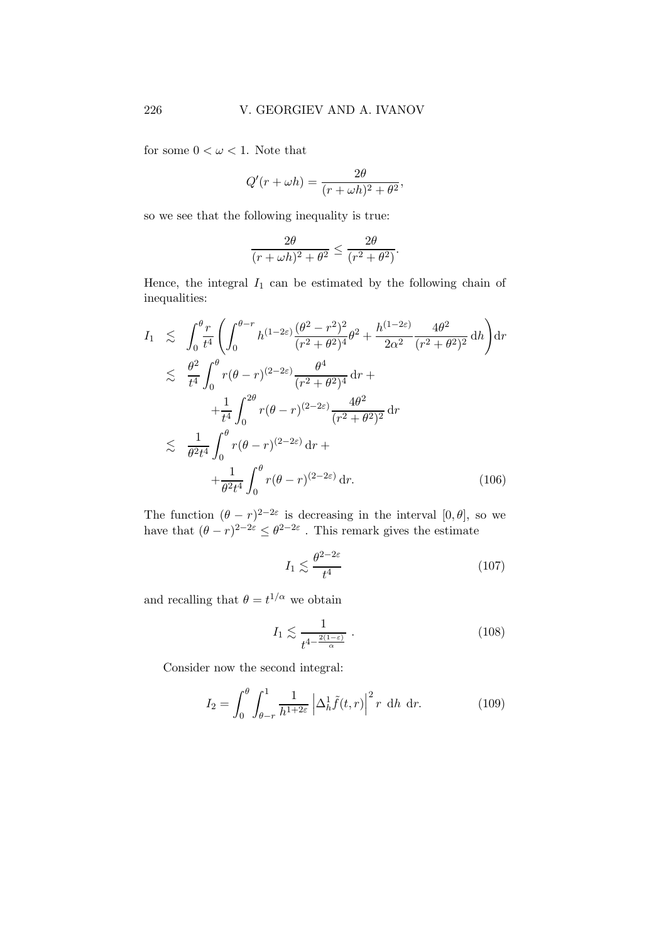for some  $0 < \omega < 1$ . Note that

$$
Q'(r + \omega h) = \frac{2\theta}{(r + \omega h)^2 + \theta^2},
$$

so we see that the following inequality is true:

$$
\frac{2\theta}{(r+\omega h)^2+\theta^2} \le \frac{2\theta}{(r^2+\theta^2)}.
$$

Hence, the integral  $I_1$  can be estimated by the following chain of inequalities:

$$
I_{1} \leq \int_{0}^{\theta} \frac{r}{t^{4}} \left( \int_{0}^{\theta-r} h^{(1-2\varepsilon)} \frac{(\theta^{2}-r^{2})^{2}}{(r^{2}+\theta^{2})^{4}} \theta^{2} + \frac{h^{(1-2\varepsilon)}}{2\alpha^{2}} \frac{4\theta^{2}}{(r^{2}+\theta^{2})^{2}} \, \mathrm{d}h \right) \mathrm{d}r
$$
  

$$
\leq \frac{\theta^{2}}{t^{4}} \int_{0}^{\theta} r(\theta-r)^{(2-2\varepsilon)} \frac{\theta^{4}}{(r^{2}+\theta^{2})^{4}} \, \mathrm{d}r +
$$

$$
+ \frac{1}{t^{4}} \int_{0}^{2\theta} r(\theta-r)^{(2-2\varepsilon)} \frac{4\theta^{2}}{(r^{2}+\theta^{2})^{2}} \, \mathrm{d}r
$$

$$
\leq \frac{1}{\theta^{2}t^{4}} \int_{0}^{\theta} r(\theta-r)^{(2-2\varepsilon)} \, \mathrm{d}r +
$$

$$
+ \frac{1}{\theta^{2}t^{4}} \int_{0}^{\theta} r(\theta-r)^{(2-2\varepsilon)} \, \mathrm{d}r. \tag{106}
$$

The function  $(\theta - r)^{2-2\varepsilon}$  is decreasing in the interval  $[0, \theta]$ , so we have that  $(\theta - r)^{2-2\varepsilon} \leq \theta^{2-2\varepsilon}$ . This remark gives the estimate

$$
I_1 \lesssim \frac{\theta^{2-2\varepsilon}}{t^4} \tag{107}
$$

and recalling that  $\theta = t^{1/\alpha}$  we obtain

$$
I_1 \lesssim \frac{1}{t^{4 - \frac{2(1-\varepsilon)}{\alpha}}} \,. \tag{108}
$$

Consider now the second integral:

$$
I_2 = \int_0^\theta \int_{\theta-r}^1 \frac{1}{h^{1+2\varepsilon}} \left| \Delta_h^1 \tilde{f}(t,r) \right|^2 r \, \mathrm{d}h \, \mathrm{d}r. \tag{109}
$$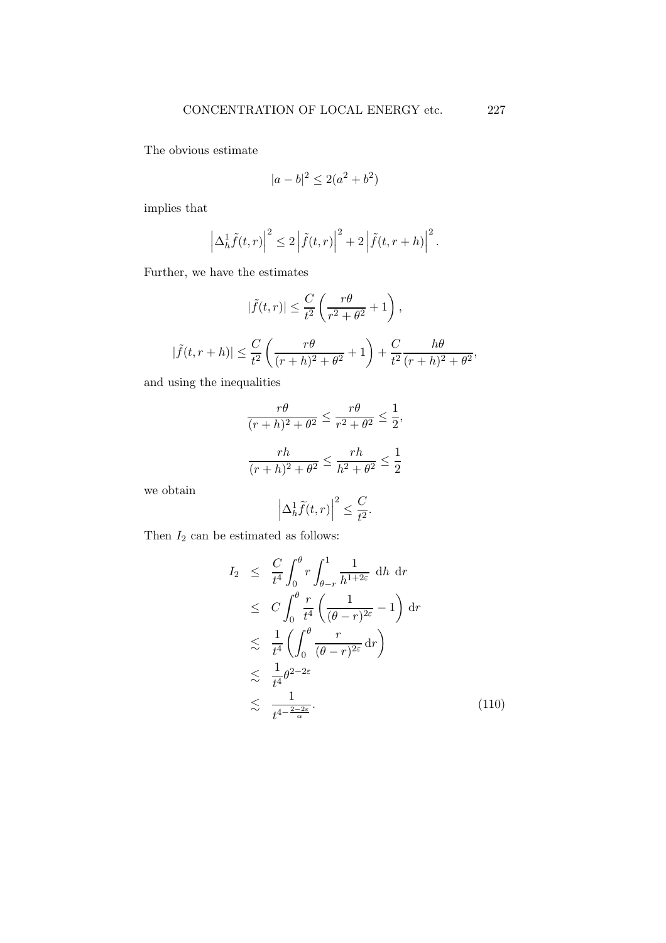The obvious estimate

$$
|a - b|^2 \le 2(a^2 + b^2)
$$

implies that

$$
\left|\Delta_h^1 \tilde{f}(t,r)\right|^2 \leq 2 \left|\tilde{f}(t,r)\right|^2 + 2 \left|\tilde{f}(t,r+h)\right|^2.
$$

Further, we have the estimates

$$
|\tilde{f}(t,r)| \leq \frac{C}{t^2} \left(\frac{r\theta}{r^2 + \theta^2} + 1\right),
$$
  

$$
|\tilde{f}(t,r+h)| \leq \frac{C}{t^2} \left(\frac{r\theta}{(r+h)^2 + \theta^2} + 1\right) + \frac{C}{t^2} \frac{h\theta}{(r+h)^2 + \theta^2},
$$

and using the inequalities

$$
\frac{r\theta}{(r+h)^2 + \theta^2} \le \frac{r\theta}{r^2 + \theta^2} \le \frac{1}{2},
$$
  

$$
\frac{rh}{(r+h)^2 + \theta^2} \le \frac{rh}{h^2 + \theta^2} \le \frac{1}{2}
$$

we obtain

$$
\left|\Delta_h^1\widetilde{f}(t,r)\right|^2\leq \frac{C}{t^2}.
$$

Then  $\mathcal{I}_2$  can be estimated as follows:

$$
I_2 \leq \frac{C}{t^4} \int_0^{\theta} r \int_{\theta-r}^1 \frac{1}{h^{1+2\varepsilon}} dh dr
$$
  
\n
$$
\leq C \int_0^{\theta} \frac{r}{t^4} \left( \frac{1}{(\theta-r)^{2\varepsilon}} - 1 \right) dr
$$
  
\n
$$
\leq \frac{1}{t^4} \left( \int_0^{\theta} \frac{r}{(\theta-r)^{2\varepsilon}} dr \right)
$$
  
\n
$$
\leq \frac{1}{t^4} \theta^{2-2\varepsilon}
$$
  
\n
$$
\leq \frac{1}{t^{4-\frac{2-2\varepsilon}{\alpha}}}.
$$
\n(110)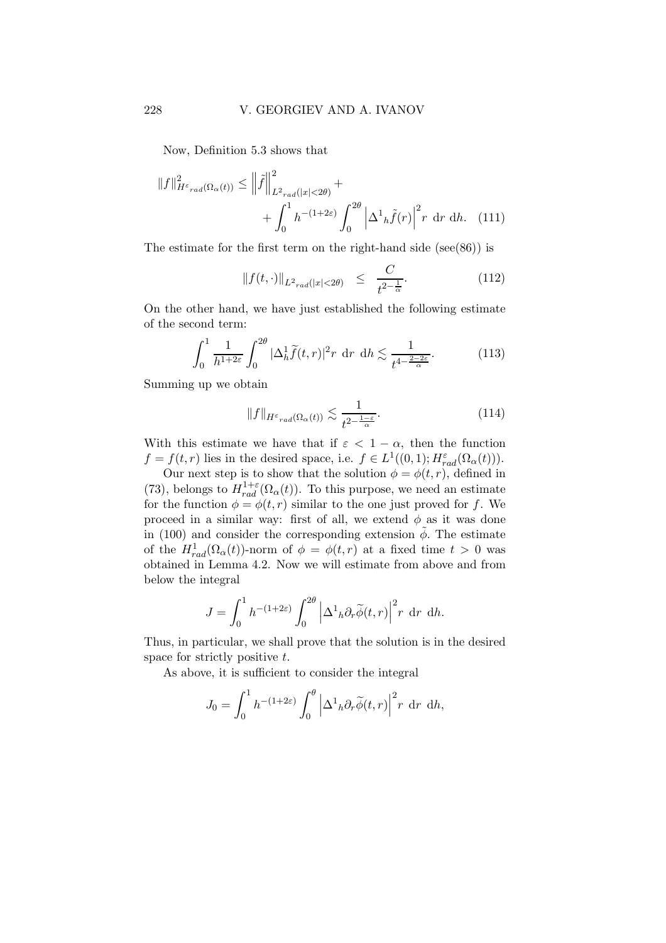Now, Definition 5.3 shows that

$$
||f||_{H^{\varepsilon}{}_{rad}(\Omega_{\alpha}(t))}^{2} \leq ||\tilde{f}||_{L^{2}{}_{rad}(|x|<2\theta)}^{2} + \int_{0}^{1} h^{-(1+2\varepsilon)} \int_{0}^{2\theta} \left| \Delta^{1}{}_{h}\tilde{f}(r) \right|^{2} r \, dr \, dh. \tag{111}
$$

The estimate for the first term on the right-hand side (see(86)) is

$$
||f(t, \cdot)||_{L^2_{rad}(|x| < 2\theta)} \leq \frac{C}{t^{2 - \frac{1}{\alpha}}}.\tag{112}
$$

On the other hand, we have just established the following estimate of the second term:

$$
\int_0^1 \frac{1}{h^{1+2\varepsilon}} \int_0^{2\theta} |\Delta_h^1 \widetilde{f}(t, r)|^2 r \, dr \, dh \lesssim \frac{1}{t^{4-\frac{2-2\varepsilon}{\alpha}}}.
$$
 (113)

Summing up we obtain

$$
||f||_{H^{\varepsilon}rad(\Omega_{\alpha}(t))} \lesssim \frac{1}{t^{2-\frac{1-\varepsilon}{\alpha}}}.
$$
\n(114)

With this estimate we have that if  $\varepsilon < 1 - \alpha$ , then the function  $f = f(t,r)$  lies in the desired space, i.e.  $f \in L^1((0,1); H_{rad}^{\varepsilon}(\Omega_{\alpha}(t))).$ 

Our next step is to show that the solution  $\phi = \phi(t, r)$ , defined in (73), belongs to  $H_{rad}^{1+\varepsilon}(\Omega_{\alpha}(t))$ . To this purpose, we need an estimate for the function  $\phi = \phi(t, r)$  similar to the one just proved for f. We proceed in a similar way: first of all, we extend  $\phi$  as it was done in (100) and consider the corresponding extension  $\tilde{\phi}$ . The estimate of the  $H_{rad}^1(\Omega_\alpha(t))$ -norm of  $\phi = \phi(t,r)$  at a fixed time  $t > 0$  was obtained in Lemma 4.2. Now we will estimate from above and from below the integral

$$
J = \int_0^1 h^{-(1+2\varepsilon)} \int_0^{2\theta} \left| \Delta^1_h \partial_r \widetilde{\phi}(t, r) \right|^2 r \, dr \, dh.
$$

Thus, in particular, we shall prove that the solution is in the desired space for strictly positive t.

As above, it is sufficient to consider the integral

$$
J_0 = \int_0^1 h^{-(1+2\varepsilon)} \int_0^\theta \left| \Delta^1_h \partial_r \widetilde{\phi}(t, r) \right|^2 r \, dr \, dh,
$$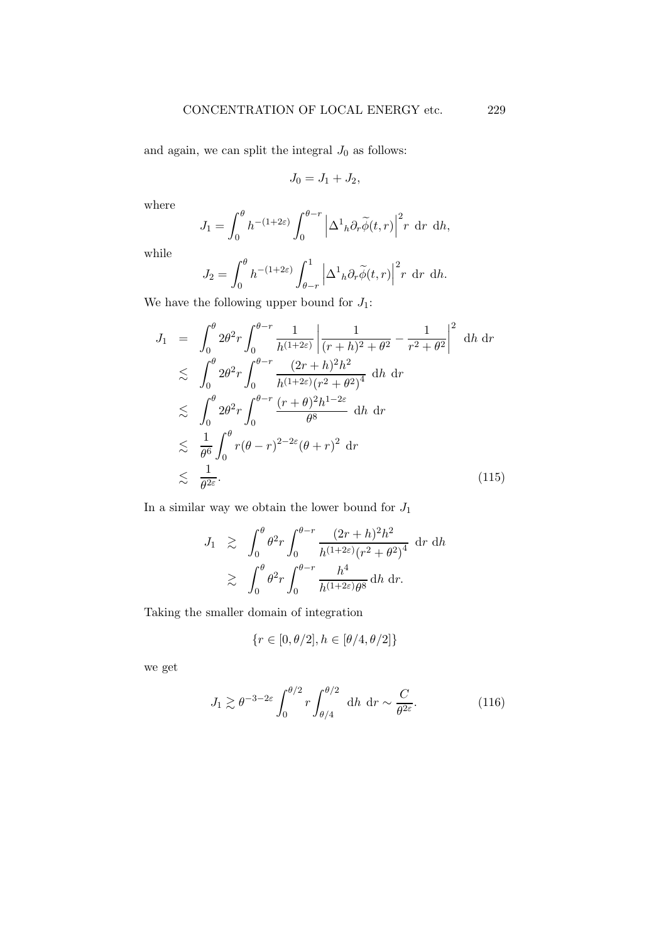and again, we can split the integral  $J_0$  as follows:

$$
J_0 = J_1 + J_2,
$$

where

$$
J_1 = \int_0^{\theta} h^{-(1+2\varepsilon)} \int_0^{\theta-r} \left| \Delta^1_h \partial_r \widetilde{\phi}(t,r) \right|^2 r \, dr \, dh,
$$

while

$$
J_2 = \int_0^{\theta} h^{-(1+2\varepsilon)} \int_{\theta-r}^1 \left| \Delta^1_h \partial_r \widetilde{\phi}(t,r) \right|^2 r \, dr \, dh.
$$

We have the following upper bound for  $J_1$ :

$$
J_1 = \int_0^{\theta} 2\theta^2 r \int_0^{\theta-r} \frac{1}{h^{(1+2\varepsilon)}} \left| \frac{1}{(r+h)^2 + \theta^2} - \frac{1}{r^2 + \theta^2} \right|^2 \, dh \, dr
$$
  
\n
$$
\lesssim \int_0^{\theta} 2\theta^2 r \int_0^{\theta-r} \frac{(2r+h)^2 h^2}{h^{(1+2\varepsilon)} (r^2 + \theta^2)^4} \, dh \, dr
$$
  
\n
$$
\lesssim \int_0^{\theta} 2\theta^2 r \int_0^{\theta-r} \frac{(r+\theta)^2 h^{1-2\varepsilon}}{\theta^8} \, dh \, dr
$$
  
\n
$$
\lesssim \frac{1}{\theta^6} \int_0^{\theta} r(\theta-r)^{2-2\varepsilon} (\theta+r)^2 \, dr
$$
  
\n
$$
\lesssim \frac{1}{\theta^{2\varepsilon}}.
$$
\n(115)

In a similar way we obtain the lower bound for  $J_1$ 

$$
J_1 \geq \int_0^{\theta} \theta^2 r \int_0^{\theta-r} \frac{(2r+h)^2 h^2}{h^{(1+2\varepsilon)} (r^2 + \theta^2)^4} dr dh
$$
  
 
$$
\geq \int_0^{\theta} \theta^2 r \int_0^{\theta-r} \frac{h^4}{h^{(1+2\varepsilon)} \theta^8} dh dr.
$$

Taking the smaller domain of integration

$$
\{r\in[0,\theta/2],h\in[\theta/4,\theta/2]\}
$$

we get

$$
J_1 \gtrsim \theta^{-3-2\varepsilon} \int_0^{\theta/2} r \int_{\theta/4}^{\theta/2} dh dr \sim \frac{C}{\theta^{2\varepsilon}}.
$$
 (116)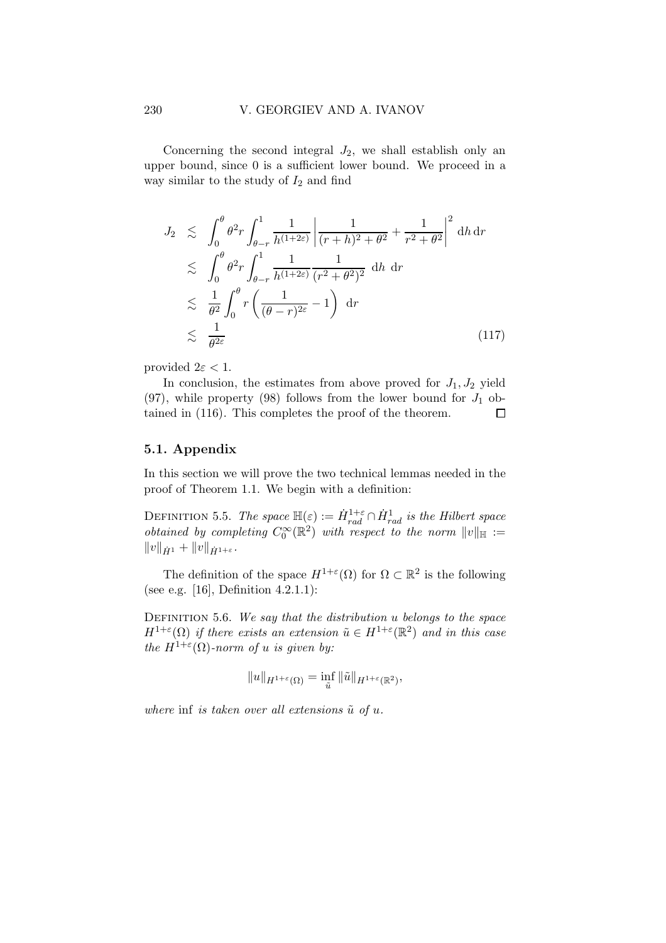Concerning the second integral  $J_2$ , we shall establish only an upper bound, since 0 is a sufficient lower bound. We proceed in a way similar to the study of  $I_2$  and find

$$
J_2 \lesssim \int_0^{\theta} \theta^2 r \int_{\theta-r}^1 \frac{1}{h^{(1+2\varepsilon)}} \left| \frac{1}{(r+h)^2 + \theta^2} + \frac{1}{r^2 + \theta^2} \right|^2 dh dr
$$
  

$$
\lesssim \int_0^{\theta} \theta^2 r \int_{\theta-r}^1 \frac{1}{h^{(1+2\varepsilon)}} \frac{1}{(r^2 + \theta^2)^2} dh dr
$$
  

$$
\lesssim \frac{1}{\theta^2} \int_0^{\theta} r \left( \frac{1}{(\theta-r)^{2\varepsilon}} - 1 \right) dr
$$
  

$$
\lesssim \frac{1}{\theta^{2\varepsilon}}
$$
 (117)

provided  $2\varepsilon < 1$ .

In conclusion, the estimates from above proved for  $J_1, J_2$  yield (97), while property (98) follows from the lower bound for  $J_1$  obtained in (116). This completes the proof of the theorem.  $\Box$ 

#### 5.1. Appendix

In this section we will prove the two technical lemmas needed in the proof of Theorem 1.1. We begin with a definition:

DEFINITION 5.5. The space  $\mathbb{H}(\varepsilon) := \dot{H}^{1+\varepsilon}_{rad} \cap \dot{H}^{1}_{rad}$  is the Hilbert space *obtained by completing*  $C_0^{\infty}(\mathbb{R}^2)$  with respect to the norm  $||v||_{\mathbb{H}} :=$  $||v||_{\dot{H}^{1}} + ||v||_{\dot{H}^{1+\varepsilon}}.$ 

The definition of the space  $H^{1+\varepsilon}(\Omega)$  for  $\Omega \subset \mathbb{R}^2$  is the following (see e.g. [16], Definition 4.2.1.1):

DEFINITION 5.6. We say that the distribution  $u$  belongs to the space  $H^{1+\varepsilon}(\Omega)$  if there exists an extension  $\tilde{u} \in H^{1+\varepsilon}(\mathbb{R}^2)$  and in this case the  $H^{1+\varepsilon}(\Omega)$ -norm of u is given by:

$$
||u||_{H^{1+\varepsilon}(\Omega)} = \inf_{\tilde{u}} ||\tilde{u}||_{H^{1+\varepsilon}(\mathbb{R}^2)},
$$

where inf is taken over all extensions  $\tilde{u}$  of u.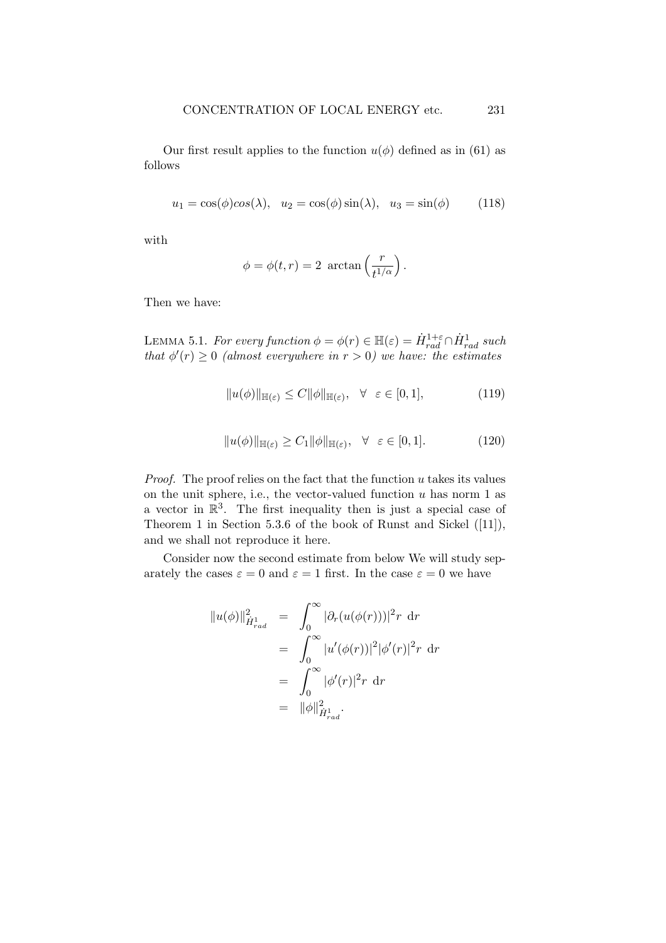Our first result applies to the function  $u(\phi)$  defined as in (61) as follows

$$
u_1 = \cos(\phi)\cos(\lambda), \quad u_2 = \cos(\phi)\sin(\lambda), \quad u_3 = \sin(\phi) \tag{118}
$$

with

$$
\phi = \phi(t, r) = 2 \arctan\left(\frac{r}{t^{1/\alpha}}\right).
$$

Then we have:

LEMMA 5.1. For every function  $\phi = \phi(r) \in \mathbb{H}(\varepsilon) = \dot{H}_{rad}^{1+\varepsilon} \cap \dot{H}_{rad}^{1}$  such that  $\phi'(r) \geq 0$  (almost everywhere in  $r > 0$ ) we have: the estimates

$$
||u(\phi)||_{\mathbb{H}(\varepsilon)} \le C ||\phi||_{\mathbb{H}(\varepsilon)}, \quad \forall \quad \varepsilon \in [0, 1], \tag{119}
$$

$$
||u(\phi)||_{\mathbb{H}(\varepsilon)} \ge C_1 ||\phi||_{\mathbb{H}(\varepsilon)}, \quad \forall \quad \varepsilon \in [0, 1]. \tag{120}
$$

*Proof.* The proof relies on the fact that the function  $u$  takes its values on the unit sphere, i.e., the vector-valued function  $u$  has norm 1 as a vector in  $\mathbb{R}^3$ . The first inequality then is just a special case of Theorem 1 in Section 5.3.6 of the book of Runst and Sickel ([11]), and we shall not reproduce it here.

Consider now the second estimate from below We will study separately the cases  $\varepsilon = 0$  and  $\varepsilon = 1$  first. In the case  $\varepsilon = 0$  we have

$$
||u(\phi)||_{\dot{H}^{1}_{rad}}^{2} = \int_{0}^{\infty} |\partial_{r}(u(\phi(r)))|^{2} r dr
$$
  
\n
$$
= \int_{0}^{\infty} |u'(\phi(r))|^{2} |\phi'(r)|^{2} r dr
$$
  
\n
$$
= \int_{0}^{\infty} |\phi'(r)|^{2} r dr
$$
  
\n
$$
= ||\phi||_{\dot{H}^{1}_{rad}}^{2}.
$$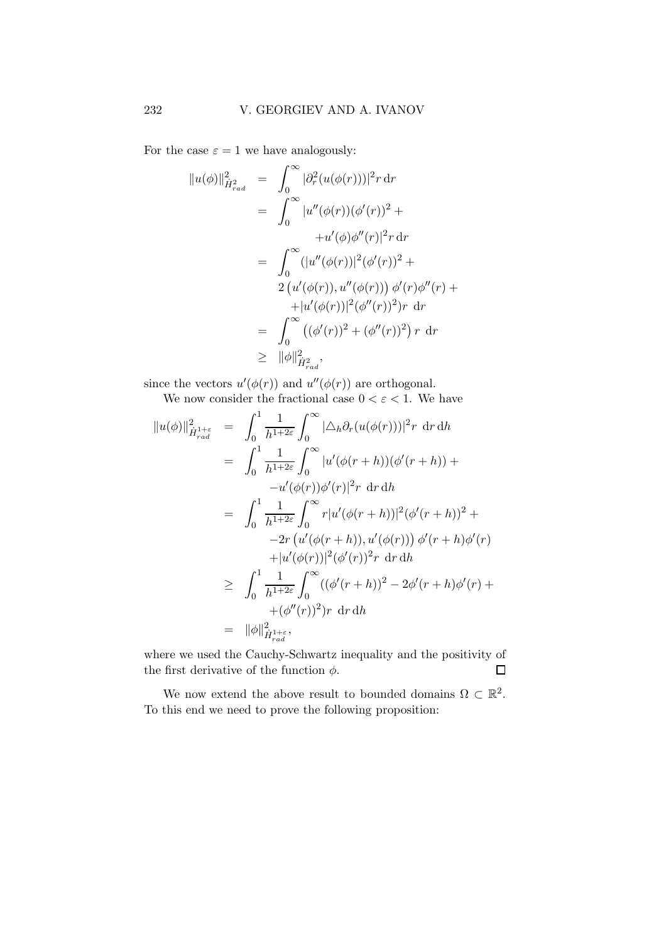For the case  $\varepsilon = 1$  we have analogously:

$$
||u(\phi)||_{\dot{H}^2_{rad}}^2 = \int_0^\infty |\partial_r^2 (u(\phi(r)))|^2 r \, dr
$$
  
\n
$$
= \int_0^\infty |u''(\phi(r))(\phi'(r))^2 +
$$
  
\n
$$
+ u'(\phi)\phi''(r)|^2 r \, dr
$$
  
\n
$$
= \int_0^\infty (|u''(\phi(r))|^2 (\phi'(r))^2 +
$$
  
\n
$$
2 (u'(\phi(r)), u''(\phi(r))) \phi'(r) \phi''(r) +
$$
  
\n
$$
+ |u'(\phi(r))|^2 (\phi''(r))^2) r \, dr
$$
  
\n
$$
= \int_0^\infty ((\phi'(r))^2 + (\phi''(r))^2) r \, dr
$$
  
\n
$$
\geq ||\phi||_{\dot{H}^2_{rad}}^2,
$$

since the vectors  $u'(\phi(r))$  and  $u''(\phi(r))$  are orthogonal.

We now consider the fractional case  $0 < \varepsilon < 1$ . We have

$$
||u(\phi)||_{\dot{H}_{rad}^{1+\varepsilon}}^{2} = \int_{0}^{1} \frac{1}{h^{1+2\varepsilon}} \int_{0}^{\infty} |\Delta_{h} \partial_{r}(u(\phi(r)))|^{2} r \, dr \, dh
$$
  
\n
$$
= \int_{0}^{1} \frac{1}{h^{1+2\varepsilon}} \int_{0}^{\infty} |u'(\phi(r+h))(\phi'(r+h)) +
$$
  
\n
$$
-u'(\phi(r))\phi'(r)|^{2} r \, dr \, dh
$$
  
\n
$$
= \int_{0}^{1} \frac{1}{h^{1+2\varepsilon}} \int_{0}^{\infty} r|u'(\phi(r+h))|^{2} (\phi'(r+h))^{2} +
$$
  
\n
$$
-2r (u'(\phi(r+h)), u'(\phi(r))) \phi'(r+h)\phi'(r)
$$
  
\n
$$
+ |u'(\phi(r))|^{2} (\phi'(r))^{2} r \, dr \, dh
$$
  
\n
$$
\geq \int_{0}^{1} \frac{1}{h^{1+2\varepsilon}} \int_{0}^{\infty} ((\phi'(r+h))^{2} - 2\phi'(r+h)\phi'(r) +
$$
  
\n
$$
+ (\phi''(r))^{2}) r \, dr \, dh
$$
  
\n
$$
= ||\phi||_{\dot{H}_{rad}^{1+\varepsilon}}^{2} ,
$$

where we used the Cauchy-Schwartz inequality and the positivity of the first derivative of the function  $\phi$ .  $\Box$ 

We now extend the above result to bounded domains  $\Omega \subset \mathbb{R}^2$ . To this end we need to prove the following proposition: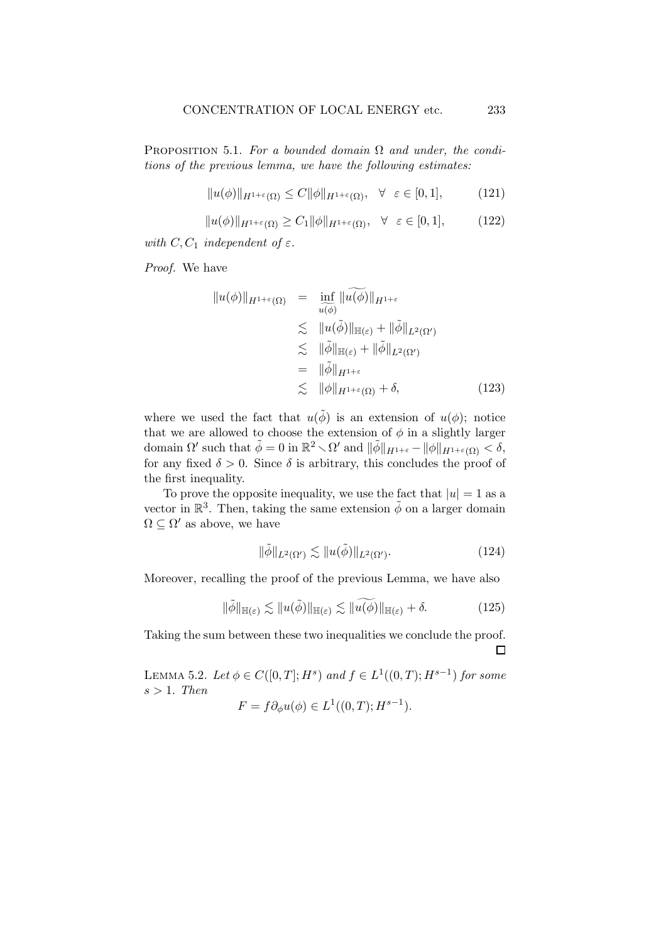PROPOSITION 5.1. For a bounded domain  $\Omega$  and under, the conditions of the previous lemma, we have the following estimates:

$$
||u(\phi)||_{H^{1+\varepsilon}(\Omega)} \le C ||\phi||_{H^{1+\varepsilon}(\Omega)}, \quad \forall \quad \varepsilon \in [0,1], \tag{121}
$$

$$
||u(\phi)||_{H^{1+\varepsilon}(\Omega)} \ge C_1 ||\phi||_{H^{1+\varepsilon}(\Omega)}, \quad \forall \quad \varepsilon \in [0,1], \tag{122}
$$

with  $C, C_1$  independent of  $\varepsilon$ .

Proof. We have

$$
||u(\phi)||_{H^{1+\varepsilon}(\Omega)} = \inf_{\widetilde{u(\phi)}} ||\widetilde{u(\phi)}||_{H^{1+\varepsilon}}
$$
  
\n
$$
\leq ||u(\widetilde{\phi})||_{\mathbb{H}(\varepsilon)} + ||\widetilde{\phi}||_{L^{2}(\Omega')}
$$
  
\n
$$
\leq ||\widetilde{\phi}||_{\mathbb{H}(\varepsilon)} + ||\widetilde{\phi}||_{L^{2}(\Omega')}
$$
  
\n
$$
= ||\widetilde{\phi}||_{H^{1+\varepsilon}}
$$
  
\n
$$
\leq ||\phi||_{H^{1+\varepsilon}(\Omega)} + \delta,
$$
\n(123)

where we used the fact that  $u(\tilde{\phi})$  is an extension of  $u(\phi)$ ; notice that we are allowed to choose the extension of  $\phi$  in a slightly larger domain  $\Omega'$  such that  $\tilde{\phi} = 0$  in  $\mathbb{R}^2 \setminus \Omega'$  and  $\|\tilde{\phi}\|_{H^{1+\varepsilon}} - \|\phi\|_{H^{1+\varepsilon}(\Omega)} < \delta$ , for any fixed  $\delta > 0$ . Since  $\delta$  is arbitrary, this concludes the proof of the first inequality.

To prove the opposite inequality, we use the fact that  $|u|=1$  as a vector in  $\mathbb{R}^3$ . Then, taking the same extension  $\tilde{\phi}$  on a larger domain  $\Omega \subseteq \Omega'$  as above, we have

$$
\|\tilde{\phi}\|_{L^2(\Omega')} \lesssim \|u(\tilde{\phi})\|_{L^2(\Omega')}.\tag{124}
$$

Moreover, recalling the proof of the previous Lemma, we have also

$$
\|\tilde{\phi}\|_{\mathbb{H}(\varepsilon)} \lesssim \|u(\tilde{\phi})\|_{\mathbb{H}(\varepsilon)} \lesssim \|\widetilde{u(\phi)}\|_{\mathbb{H}(\varepsilon)} + \delta. \tag{125}
$$

Taking the sum between these two inequalities we conclude the proof.  $\Box$ 

LEMMA 5.2. Let  $\phi \in C([0, T]; H^s)$  and  $f \in L^1((0, T); H^{s-1})$  for some  $s > 1$ . Then

$$
F = f \partial_{\phi} u(\phi) \in L^1((0, T); H^{s-1}).
$$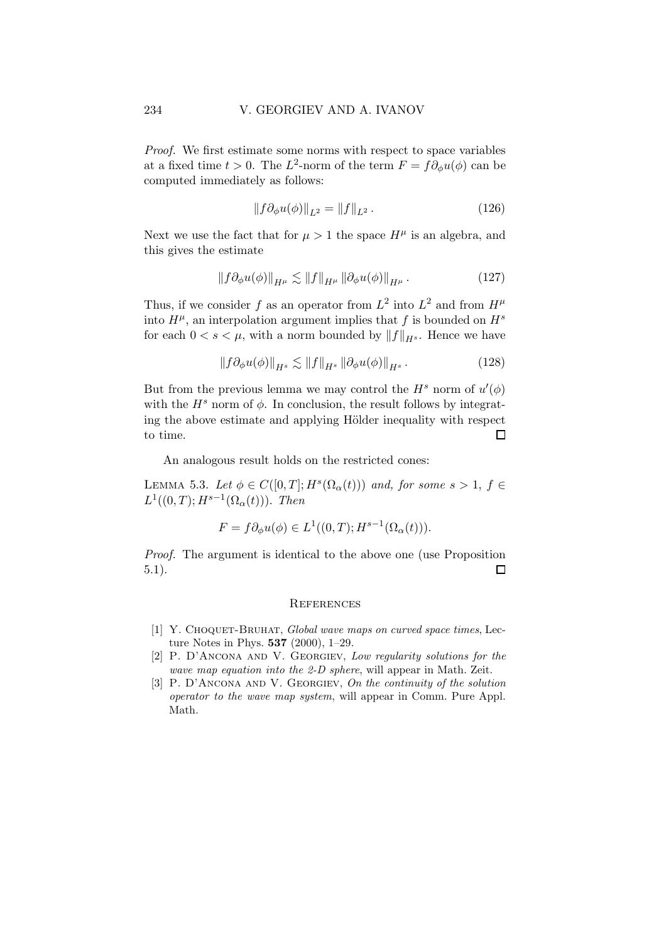Proof. We first estimate some norms with respect to space variables at a fixed time  $t > 0$ . The  $L^2$ -norm of the term  $F = f \partial_{\phi} u(\phi)$  can be computed immediately as follows:

$$
||f \partial_{\phi} u(\phi)||_{L^2} = ||f||_{L^2}.
$$
 (126)

Next we use the fact that for  $\mu > 1$  the space  $H^{\mu}$  is an algebra, and this gives the estimate

$$
||f\partial_{\phi}u(\phi)||_{H^{\mu}} \lesssim ||f||_{H^{\mu}} ||\partial_{\phi}u(\phi)||_{H^{\mu}}.
$$
 (127)

Thus, if we consider f as an operator from  $L^2$  into  $L^2$  and from  $H^{\mu}$ into  $H^{\mu}$ , an interpolation argument implies that f is bounded on  $H^s$ for each  $0 < s < \mu$ , with a norm bounded by  $||f||_{H^s}$ . Hence we have

$$
\|f\partial_{\phi}u(\phi)\|_{H^s} \lesssim \|f\|_{H^s} \|\partial_{\phi}u(\phi)\|_{H^s}.
$$
 (128)

But from the previous lemma we may control the  $H^s$  norm of  $u'(\phi)$ with the  $H^s$  norm of  $\phi$ . In conclusion, the result follows by integrating the above estimate and applying Hölder inequality with respect to time.  $\Box$ 

An analogous result holds on the restricted cones:

LEMMA 5.3. Let  $\phi \in C([0,T]; H^s(\Omega_\alpha(t)))$  and, for some  $s > 1$ ,  $f \in$  $L^1((0,T);H^{s-1}(\Omega_\alpha(t)))$ . Then

$$
F = f\partial_{\phi}u(\phi) \in L^1((0,T);H^{s-1}(\Omega_{\alpha}(t))).
$$

Proof. The argument is identical to the above one (use Proposition 5.1).  $\Box$ 

#### **REFERENCES**

- [1] Y. CHOQUET-BRUHAT, Global wave maps on curved space times, Lecture Notes in Phys. 537 (2000), 1–29.
- [2] P. D'ANCONA AND V. GEORGIEV, Low regularity solutions for the wave map equation into the 2-D sphere, will appear in Math. Zeit.
- [3] P. D'ANCONA AND V. GEORGIEV, On the continuity of the solution operator to the wave map system, will appear in Comm. Pure Appl. Math.